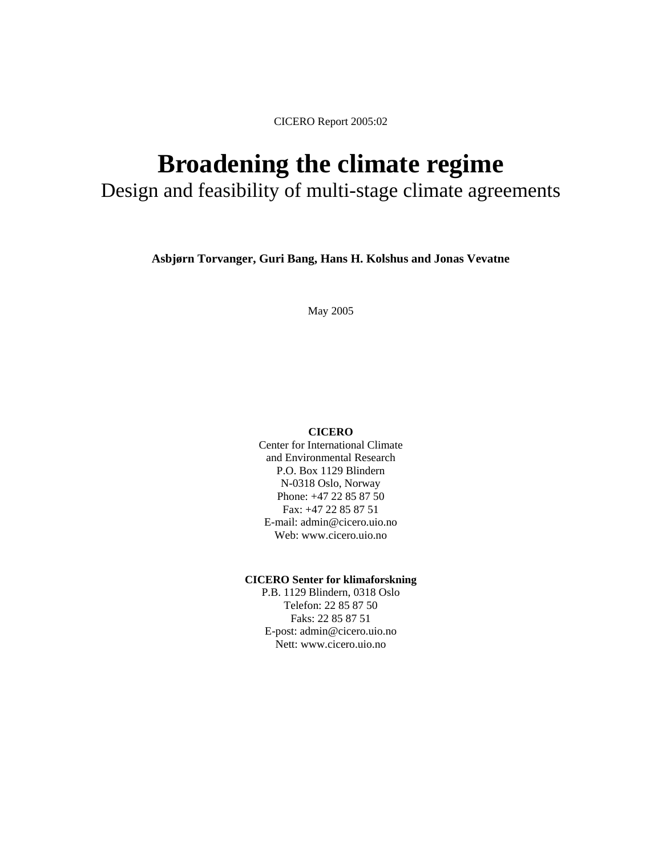# **Broadening the climate regime**

Design and feasibility of multi-stage climate agreements

**Asbjørn Torvanger, Guri Bang, Hans H. Kolshus and Jonas Vevatne** 

May 2005

#### **CICERO**

Center for International Climate and Environmental Research P.O. Box 1129 Blindern N-0318 Oslo, Norway Phone: +47 22 85 87 50 Fax: +47 22 85 87 51 E-mail: admin@cicero.uio.no Web: www.cicero.uio.no

#### **CICERO Senter for klimaforskning**

P.B. 1129 Blindern, 0318 Oslo Telefon: 22 85 87 50 Faks: 22 85 87 51 E-post: admin@cicero.uio.no Nett: www.cicero.uio.no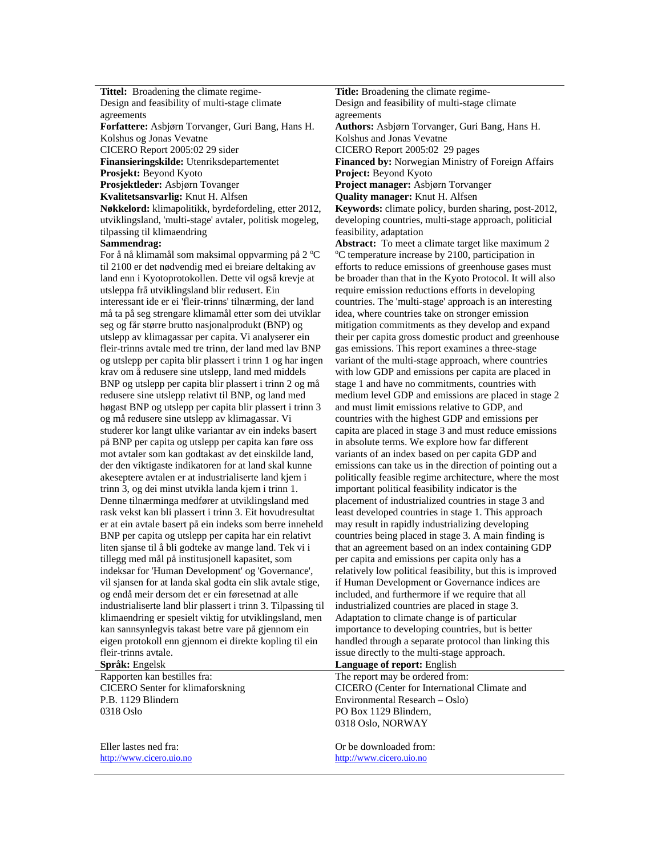**Tittel:** Broadening the climate regime-Design and feasibility of multi-stage climate agreements **Forfattere:** Asbjørn Torvanger, Guri Bang, Hans H. Kolshus og Jonas Vevatne<br>CICERO Report 2005:02 29 sider **Finansieringskilde:** Utenriksdepartementet **Financed by:** Norwegian Ministry of Foreign Affairs **Prosjekt:** Beyond Kyoto **Project:** Beyond Kyoto **Prosjektleder:** Asbjørn Tovanger **Project manager:** Asbjørn Torvanger **Kvalitetsansvarlig:** Knut H. Alfsen **Quality manager:** Knut H. Alfsen

**Nøkkelord:** klimapolitikk, byrdefordeling, etter 2012, utviklingsland, 'multi-stage' avtaler, politisk mogeleg, tilpassing til klimaendring

#### **Sammendrag:**

For å nå klimamål som maksimal oppvarming på 2  $^{\circ}$ C til 2100 er det nødvendig med ei breiare deltaking av land enn i Kyotoprotokollen. Dette vil også krevje at utsleppa frå utviklingsland blir redusert. Ein interessant ide er ei 'fleir-trinns' tilnærming, der land må ta på seg strengare klimamål etter som dei utviklar seg og får større brutto nasjonalprodukt (BNP) og utslepp av klimagassar per capita. Vi analyserer ein fleir-trinns avtale med tre trinn, der land med lav BNP og utslepp per capita blir plassert i trinn 1 og har ingen krav om å redusere sine utslepp, land med middels BNP og utslepp per capita blir plassert i trinn 2 og må redusere sine utslepp relativt til BNP, og land med høgast BNP og utslepp per capita blir plassert i trinn 3 og må redusere sine utslepp av klimagassar. Vi studerer kor langt ulike variantar av ein indeks basert på BNP per capita og utslepp per capita kan føre oss mot avtaler som kan godtakast av det einskilde land, der den viktigaste indikatoren for at land skal kunne akeseptere avtalen er at industrialiserte land kjem i trinn 3, og dei minst utvikla landa kjem i trinn 1. Denne tilnærminga medfører at utviklingsland med rask vekst kan bli plassert i trinn 3. Eit hovudresultat er at ein avtale basert på ein indeks som berre inneheld BNP per capita og utslepp per capita har ein relativt liten sjanse til å bli godteke av mange land. Tek vi i tillegg med mål på institusjonell kapasitet, som indeksar for 'Human Development' og 'Governance', vil sjansen for at landa skal godta ein slik avtale stige, og endå meir dersom det er ein føresetnad at alle industrialiserte land blir plassert i trinn 3. Tilpassing til klimaendring er spesielt viktig for utviklingsland, men kan sannsynlegvis takast betre vare på gjennom ein eigen protokoll enn gjennom ei direkte kopling til ein fleir-trinns avtale.

Rapporten kan bestilles fra: CICERO Senter for klimaforskning P.B. 1129 Blindern 0318 Oslo

Eller lastes ned fra: http://www.cicero.uio.no

**Title:** Broadening the climate regime-Design and feasibility of multi-stage climate agreements

**Authors:** Asbjørn Torvanger, Guri Bang, Hans H. Kolshus and Jonas Vevatne

CICERO Report 2005:02 29 pages

**Keywords:** climate policy, burden sharing, post-2012, developing countries, multi-stage approach, politicial feasibility, adaptation

**Abstract:** To meet a climate target like maximum 2 C temperature increase by 2100, participation in efforts to reduce emissions of greenhouse gases must be broader than that in the Kyoto Protocol. It will also require emission reductions efforts in developing countries. The 'multi-stage' approach is an interesting idea, where countries take on stronger emission mitigation commitments as they develop and expand their per capita gross domestic product and greenhouse gas emissions. This report examines a three-stage variant of the multi-stage approach, where countries with low GDP and emissions per capita are placed in stage 1 and have no commitments, countries with medium level GDP and emissions are placed in stage 2 and must limit emissions relative to GDP, and countries with the highest GDP and emissions per capita are placed in stage 3 and must reduce emissions in absolute terms. We explore how far different variants of an index based on per capita GDP and emissions can take us in the direction of pointing out a politically feasible regime architecture, where the most important political feasibility indicator is the placement of industrialized countries in stage 3 and least developed countries in stage 1. This approach may result in rapidly industrializing developing countries being placed in stage 3. A main finding is that an agreement based on an index containing GDP per capita and emissions per capita only has a relatively low political feasibility, but this is improved if Human Development or Governance indices are included, and furthermore if we require that all industrialized countries are placed in stage 3. Adaptation to climate change is of particular importance to developing countries, but is better handled through a separate protocol than linking this issue directly to the multi-stage approach.

**Språk:** Engelsk **Language of report:** English

The report may be ordered from: CICERO (Center for International Climate and Environmental Research – Oslo) PO Box 1129 Blindern, 0318 Oslo, NORWAY

Or be downloaded from: http://www.cicero.uio.no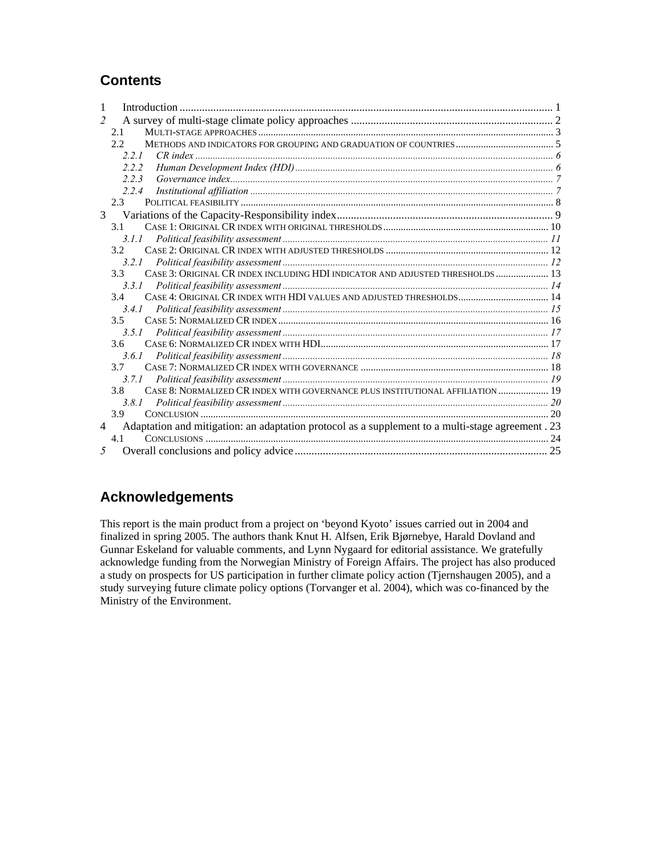# **Contents**

| 1              |                                                                                                   |  |
|----------------|---------------------------------------------------------------------------------------------------|--|
| $\mathfrak{D}$ |                                                                                                   |  |
|                | 2.1                                                                                               |  |
|                | 2.2                                                                                               |  |
|                | 221                                                                                               |  |
|                | 222                                                                                               |  |
|                | 223                                                                                               |  |
|                | 2.2.4                                                                                             |  |
|                | $2.3 -$                                                                                           |  |
| $\overline{3}$ |                                                                                                   |  |
|                | 3.1                                                                                               |  |
|                | 3.1.1                                                                                             |  |
|                | 32 <sub>2</sub>                                                                                   |  |
|                | 3.2.1                                                                                             |  |
|                | CASE 3: ORIGINAL CR INDEX INCLUDING HDI INDICATOR AND ADJUSTED THRESHOLDS  13<br>3.3              |  |
|                | 3.3.1                                                                                             |  |
|                | CASE 4: ORIGINAL CR INDEX WITH HDI VALUES AND ADJUSTED THRESHOLDS 14<br>34                        |  |
|                | 3.4.1                                                                                             |  |
|                | 3.5                                                                                               |  |
|                | 3.5.1                                                                                             |  |
|                | 36 <sup>7</sup>                                                                                   |  |
|                | 3.6.1                                                                                             |  |
|                | 37                                                                                                |  |
|                | 3.7.1                                                                                             |  |
|                | 3.8<br>CASE 8: NORMALIZED CR INDEX WITH GOVERNANCE PLUS INSTITUTIONAL AFFILIATION  19             |  |
|                | 381                                                                                               |  |
|                | 3.9                                                                                               |  |
| $\overline{4}$ | Adaptation and mitigation: an adaptation protocol as a supplement to a multi-stage agreement . 23 |  |
|                | 4.1                                                                                               |  |
| 5              |                                                                                                   |  |

# **Acknowledgements**

This report is the main product from a project on 'beyond Kyoto' issues carried out in 2004 and finalized in spring 2005. The authors thank Knut H. Alfsen, Erik Bjørnebye, Harald Dovland and Gunnar Eskeland for valuable comments, and Lynn Nygaard for editorial assistance. We gratefully acknowledge funding from the Norwegian Ministry of Foreign Affairs. The project has also produced a study on prospects for US participation in further climate policy action (Tjernshaugen 2005), and a study surveying future climate policy options (Torvanger et al. 2004), which was co-financed by the Ministry of the Environment.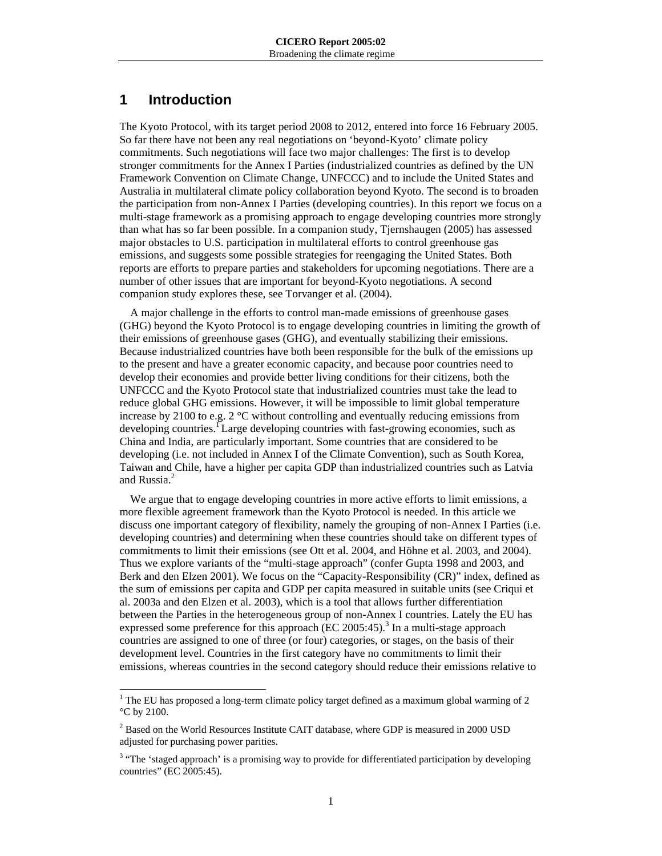# **1 Introduction**

 $\overline{\phantom{a}}$ 

The Kyoto Protocol, with its target period 2008 to 2012, entered into force 16 February 2005. So far there have not been any real negotiations on 'beyond-Kyoto' climate policy commitments. Such negotiations will face two major challenges: The first is to develop stronger commitments for the Annex I Parties (industrialized countries as defined by the UN Framework Convention on Climate Change, UNFCCC) and to include the United States and Australia in multilateral climate policy collaboration beyond Kyoto. The second is to broaden the participation from non-Annex I Parties (developing countries). In this report we focus on a multi-stage framework as a promising approach to engage developing countries more strongly than what has so far been possible. In a companion study, Tjernshaugen (2005) has assessed major obstacles to U.S. participation in multilateral efforts to control greenhouse gas emissions, and suggests some possible strategies for reengaging the United States. Both reports are efforts to prepare parties and stakeholders for upcoming negotiations. There are a number of other issues that are important for beyond-Kyoto negotiations. A second companion study explores these, see Torvanger et al. (2004).

A major challenge in the efforts to control man-made emissions of greenhouse gases (GHG) beyond the Kyoto Protocol is to engage developing countries in limiting the growth of their emissions of greenhouse gases (GHG), and eventually stabilizing their emissions. Because industrialized countries have both been responsible for the bulk of the emissions up to the present and have a greater economic capacity, and because poor countries need to develop their economies and provide better living conditions for their citizens, both the UNFCCC and the Kyoto Protocol state that industrialized countries must take the lead to reduce global GHG emissions. However, it will be impossible to limit global temperature increase by 2100 to e.g.  $2^{\circ}$ C without controlling and eventually reducing emissions from developing countries.<sup>1</sup> Large developing countries with fast-growing economies, such as China and India, are particularly important. Some countries that are considered to be developing (i.e. not included in Annex I of the Climate Convention), such as South Korea, Taiwan and Chile, have a higher per capita GDP than industrialized countries such as Latvia and Russia.<sup>2</sup>

We argue that to engage developing countries in more active efforts to limit emissions, a more flexible agreement framework than the Kyoto Protocol is needed. In this article we discuss one important category of flexibility, namely the grouping of non-Annex I Parties (i.e. developing countries) and determining when these countries should take on different types of commitments to limit their emissions (see Ott et al. 2004, and Höhne et al. 2003, and 2004). Thus we explore variants of the "multi-stage approach" (confer Gupta 1998 and 2003, and Berk and den Elzen 2001). We focus on the "Capacity-Responsibility (CR)" index, defined as the sum of emissions per capita and GDP per capita measured in suitable units (see Criqui et al. 2003a and den Elzen et al. 2003), which is a tool that allows further differentiation between the Parties in the heterogeneous group of non-Annex I countries. Lately the EU has expressed some preference for this approach  $(EC 2005:45)$ .<sup>3</sup> In a multi-stage approach countries are assigned to one of three (or four) categories, or stages, on the basis of their development level. Countries in the first category have no commitments to limit their emissions, whereas countries in the second category should reduce their emissions relative to

<sup>&</sup>lt;sup>1</sup> The EU has proposed a long-term climate policy target defined as a maximum global warming of 2 °C by 2100.

 $2^{2}$  Based on the World Resources Institute CAIT database, where GDP is measured in 2000 USD adjusted for purchasing power parities.

<sup>&</sup>lt;sup>3</sup> "The 'staged approach' is a promising way to provide for differentiated participation by developing countries" (EC 2005:45).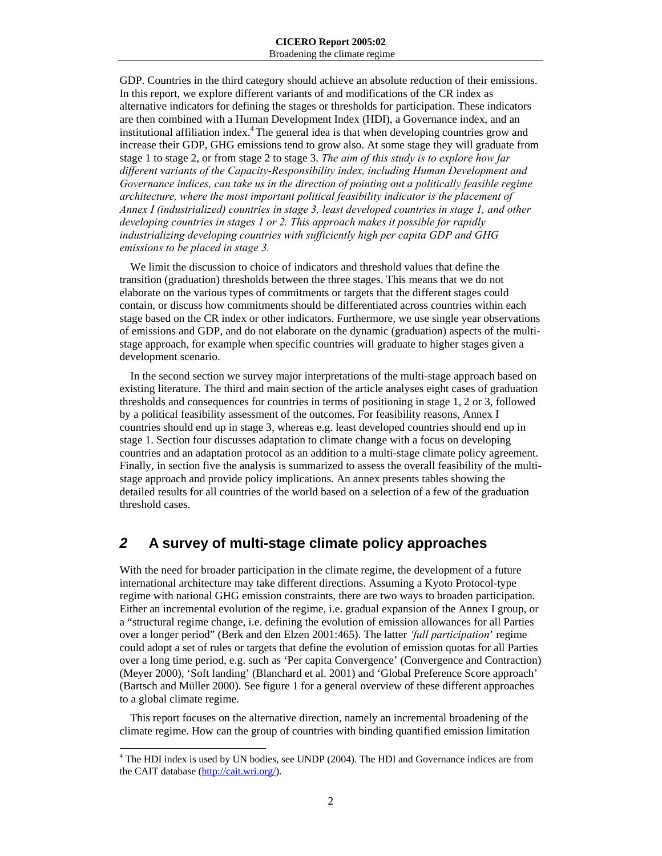GDP. Countries in the third category should achieve an absolute reduction of their emissions. In this report, we explore different variants of and modifications of the CR index as alternative indicators for defining the stages or thresholds for participation. These indicators are then combined with a Human Development Index (HDI), a Governance index, and an institutional affiliation index.<sup>4</sup> The general idea is that when developing countries grow and increase their GDP, GHG emissions tend to grow also. At some stage they will graduate from stage 1 to stage 2, or from stage 2 to stage 3. *The aim of this study is to explore how far different variants of the Capacity-Responsibility index, including Human Development and Governance indices, can take us in the direction of pointing out a politically feasible regime architecture, where the most important political feasibility indicator is the placement of Annex I (industrialized) countries in stage 3, least developed countries in stage 1, and other developing countries in stages 1 or 2. This approach makes it possible for rapidly industrializing developing countries with sufficiently high per capita GDP and GHG emissions to be placed in stage 3.*

We limit the discussion to choice of indicators and threshold values that define the transition (graduation) thresholds between the three stages. This means that we do not elaborate on the various types of commitments or targets that the different stages could contain, or discuss how commitments should be differentiated across countries within each stage based on the CR index or other indicators. Furthermore, we use single year observations of emissions and GDP, and do not elaborate on the dynamic (graduation) aspects of the multistage approach, for example when specific countries will graduate to higher stages given a development scenario.

In the second section we survey major interpretations of the multi-stage approach based on existing literature. The third and main section of the article analyses eight cases of graduation thresholds and consequences for countries in terms of positioning in stage 1, 2 or 3, followed by a political feasibility assessment of the outcomes. For feasibility reasons, Annex I countries should end up in stage 3, whereas e.g. least developed countries should end up in stage 1. Section four discusses adaptation to climate change with a focus on developing countries and an adaptation protocol as an addition to a multi-stage climate policy agreement. Finally, in section five the analysis is summarized to assess the overall feasibility of the multistage approach and provide policy implications. An annex presents tables showing the detailed results for all countries of the world based on a selection of a few of the graduation threshold cases.

# *2* **A survey of multi-stage climate policy approaches**

With the need for broader participation in the climate regime, the development of a future international architecture may take different directions. Assuming a Kyoto Protocol-type regime with national GHG emission constraints, there are two ways to broaden participation. Either an incremental evolution of the regime, i.e. gradual expansion of the Annex I group, or a "structural regime change, i.e. defining the evolution of emission allowances for all Parties over a longer period" (Berk and den Elzen 2001:465). The latter *'full participation*' regime could adopt a set of rules or targets that define the evolution of emission quotas for all Parties over a long time period, e.g. such as 'Per capita Convergence' (Convergence and Contraction) (Meyer 2000), 'Soft landing' (Blanchard et al. 2001) and 'Global Preference Score approach' (Bartsch and Müller 2000). See figure 1 for a general overview of these different approaches to a global climate regime.

This report focuses on the alternative direction, namely an incremental broadening of the climate regime. How can the group of countries with binding quantified emission limitation

 4 The HDI index is used by UN bodies, see UNDP (2004). The HDI and Governance indices are from the CAIT database (http://cait.wri.org/).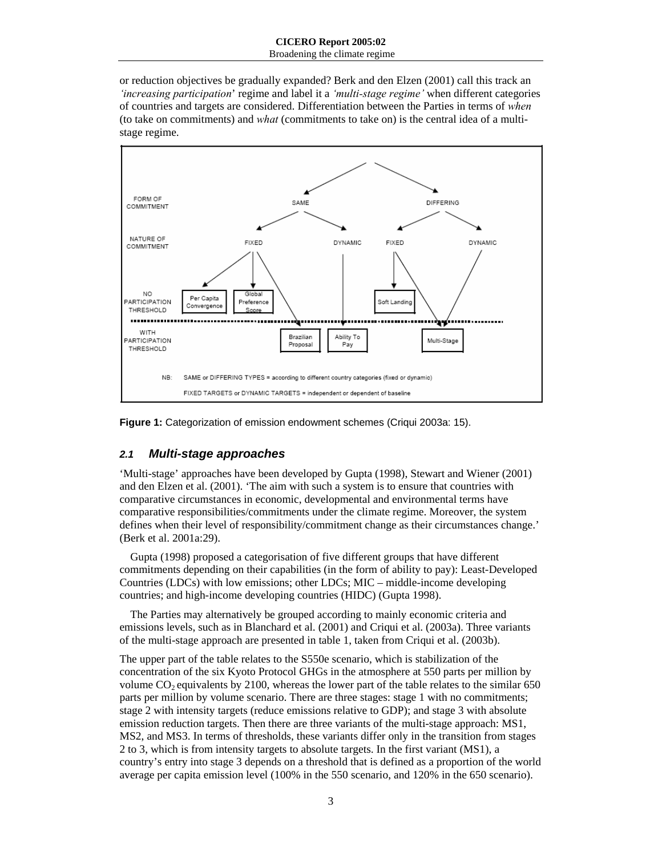or reduction objectives be gradually expanded? Berk and den Elzen (2001) call this track an *'increasing participation*' regime and label it a *'multi-stage regime'* when different categories of countries and targets are considered. Differentiation between the Parties in terms of *when* (to take on commitments) and *what* (commitments to take on) is the central idea of a multistage regime.



**Figure 1:** Categorization of emission endowment schemes (Criqui 2003a: 15).

## *2.1 Multi-stage approaches*

'Multi-stage' approaches have been developed by Gupta (1998), Stewart and Wiener (2001) and den Elzen et al. (2001). 'The aim with such a system is to ensure that countries with comparative circumstances in economic, developmental and environmental terms have comparative responsibilities/commitments under the climate regime. Moreover, the system defines when their level of responsibility/commitment change as their circumstances change.' (Berk et al. 2001a:29).

Gupta (1998) proposed a categorisation of five different groups that have different commitments depending on their capabilities (in the form of ability to pay): Least-Developed Countries (LDCs) with low emissions; other LDCs; MIC – middle-income developing countries; and high-income developing countries (HIDC) (Gupta 1998).

The Parties may alternatively be grouped according to mainly economic criteria and emissions levels, such as in Blanchard et al. (2001) and Criqui et al. (2003a). Three variants of the multi-stage approach are presented in table 1, taken from Criqui et al. (2003b).

The upper part of the table relates to the S550e scenario, which is stabilization of the concentration of the six Kyoto Protocol GHGs in the atmosphere at 550 parts per million by volume  $CO<sub>2</sub>$  equivalents by 2100, whereas the lower part of the table relates to the similar 650 parts per million by volume scenario. There are three stages: stage 1 with no commitments; stage 2 with intensity targets (reduce emissions relative to GDP); and stage 3 with absolute emission reduction targets. Then there are three variants of the multi-stage approach: MS1, MS2, and MS3. In terms of thresholds, these variants differ only in the transition from stages 2 to 3, which is from intensity targets to absolute targets. In the first variant (MS1), a country's entry into stage 3 depends on a threshold that is defined as a proportion of the world average per capita emission level (100% in the 550 scenario, and 120% in the 650 scenario).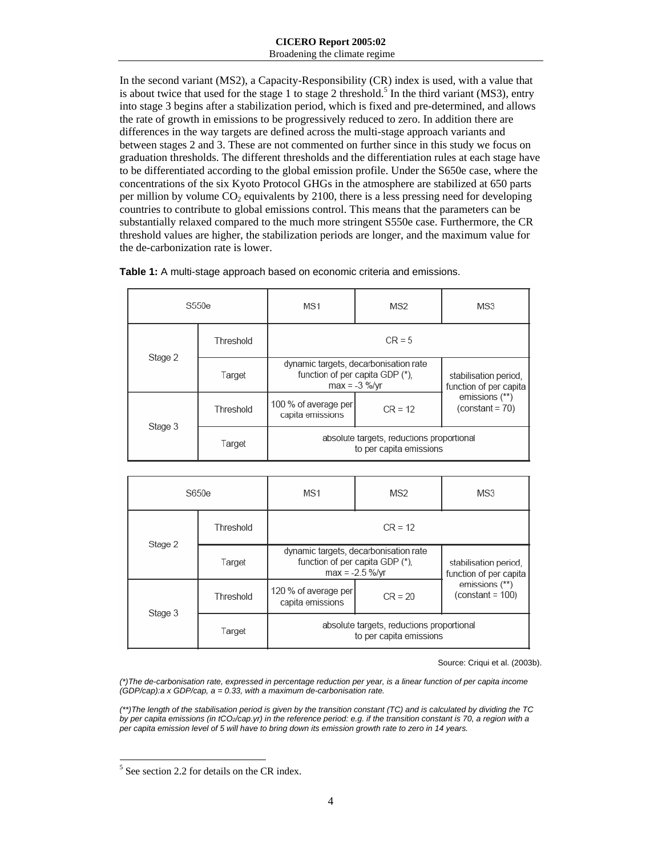In the second variant (MS2), a Capacity-Responsibility (CR) index is used, with a value that is about twice that used for the stage 1 to stage 2 threshold.<sup>5</sup> In the third variant (MS3), entry into stage 3 begins after a stabilization period, which is fixed and pre-determined, and allows the rate of growth in emissions to be progressively reduced to zero. In addition there are differences in the way targets are defined across the multi-stage approach variants and between stages 2 and 3. These are not commented on further since in this study we focus on graduation thresholds. The different thresholds and the differentiation rules at each stage have to be differentiated according to the global emission profile. Under the S650e case, where the concentrations of the six Kyoto Protocol GHGs in the atmosphere are stabilized at 650 parts per million by volume  $CO<sub>2</sub>$  equivalents by 2100, there is a less pressing need for developing countries to contribute to global emissions control. This means that the parameters can be substantially relaxed compared to the much more stringent S550e case. Furthermore, the CR threshold values are higher, the stabilization periods are longer, and the maximum value for the de-carbonization rate is lower.

| Table 1: A multi-stage approach based on economic criteria and emissions. |  |
|---------------------------------------------------------------------------|--|
|                                                                           |  |

|         | S <sub>550e</sub> | MS1                                                                                         | MS2       | MS3                                             |
|---------|-------------------|---------------------------------------------------------------------------------------------|-----------|-------------------------------------------------|
|         | Threshold         | $CR = 5$                                                                                    |           |                                                 |
| Stage 2 | Target            | dynamic targets, decarbonisation rate<br>function of per capita GDP (*).<br>$max = -3$ %/vr |           | stabilisation period,<br>function of per capita |
| Stage 3 | Threshold         | 100 % of average per<br>capita emissions                                                    | $CR = 12$ | emissions (**)<br>$(constant = 70)$             |
|         | Target            | absolute targets, reductions proportional<br>to per capita emissions                        |           |                                                 |

| S650e   |           | MS1                                                                                            | MS2       | MS3                                             |
|---------|-----------|------------------------------------------------------------------------------------------------|-----------|-------------------------------------------------|
| Stage 2 | Threshold |                                                                                                | $CR = 12$ |                                                 |
|         | Target    | dynamic targets, decarbonisation rate<br>function of per capita GDP (*).<br>$max = -2.5 %$ /vr |           | stabilisation period.<br>function of per capita |
| Stage 3 | Threshold | 120 % of average per<br>capita emissions                                                       | $CR = 20$ | emissions (**)<br>$(constant = 100)$            |
|         | Target    | absolute targets, reductions proportional<br>to per capita emissions                           |           |                                                 |

Source: Criqui et al. (2003b).

*(\*)The de-carbonisation rate, expressed in percentage reduction per year, is a linear function of per capita income (GDP/cap):a x GDP/cap, a = 0.33, with a maximum de-carbonisation rate.* 

*(\*\*)The length of the stabilisation period is given by the transition constant (TC) and is calculated by dividing the TC by per capita emissions (in tCO2/cap.yr) in the reference period: e.g. if the transition constant is 70, a region with a per capita emission level of 5 will have to bring down its emission growth rate to zero in 14 years.* 

 $\overline{\phantom{a}}$ <sup>5</sup> See section 2.2 for details on the CR index.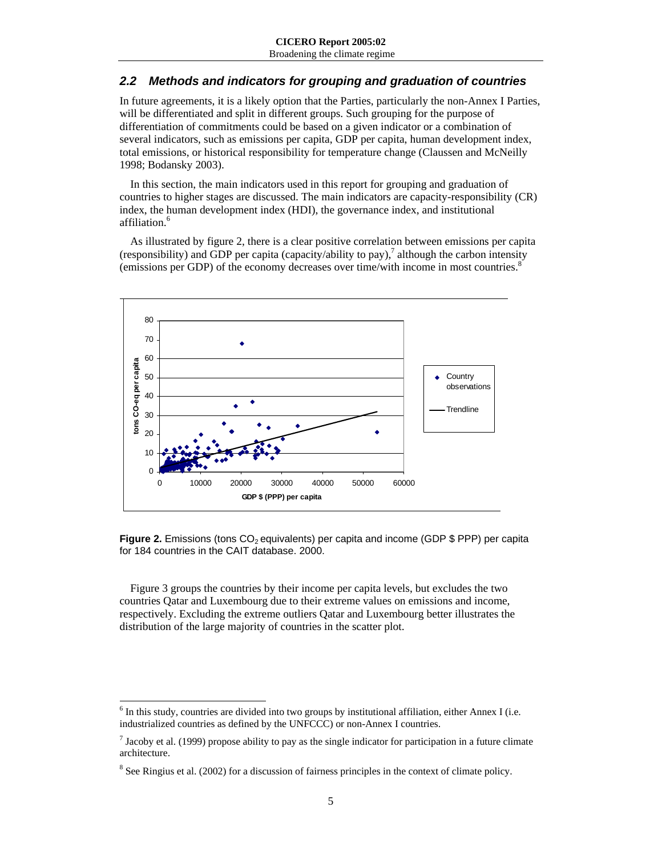## *2.2 Methods and indicators for grouping and graduation of countries*

In future agreements, it is a likely option that the Parties, particularly the non-Annex I Parties, will be differentiated and split in different groups. Such grouping for the purpose of differentiation of commitments could be based on a given indicator or a combination of several indicators, such as emissions per capita, GDP per capita, human development index, total emissions, or historical responsibility for temperature change (Claussen and McNeilly 1998; Bodansky 2003).

In this section, the main indicators used in this report for grouping and graduation of countries to higher stages are discussed. The main indicators are capacity-responsibility (CR) index, the human development index (HDI), the governance index, and institutional affiliation.<sup>6</sup>

As illustrated by figure 2, there is a clear positive correlation between emissions per capita (responsibility) and GDP per capita (capacity/ability to pay),<sup>7</sup> although the carbon intensity (emissions per GDP) of the economy decreases over time/with income in most countries.8



**Figure 2.** Emissions (tons CO<sub>2</sub> equivalents) per capita and income (GDP \$ PPP) per capita for 184 countries in the CAIT database. 2000.

Figure 3 groups the countries by their income per capita levels, but excludes the two countries Qatar and Luxembourg due to their extreme values on emissions and income, respectively. Excluding the extreme outliers Qatar and Luxembourg better illustrates the distribution of the large majority of countries in the scatter plot.

l

 $6$  In this study, countries are divided into two groups by institutional affiliation, either Annex I (i.e. industrialized countries as defined by the UNFCCC) or non-Annex I countries.

<sup>&</sup>lt;sup>7</sup> Jacoby et al. (1999) propose ability to pay as the single indicator for participation in a future climate architecture.

 $8$  See Ringius et al. (2002) for a discussion of fairness principles in the context of climate policy.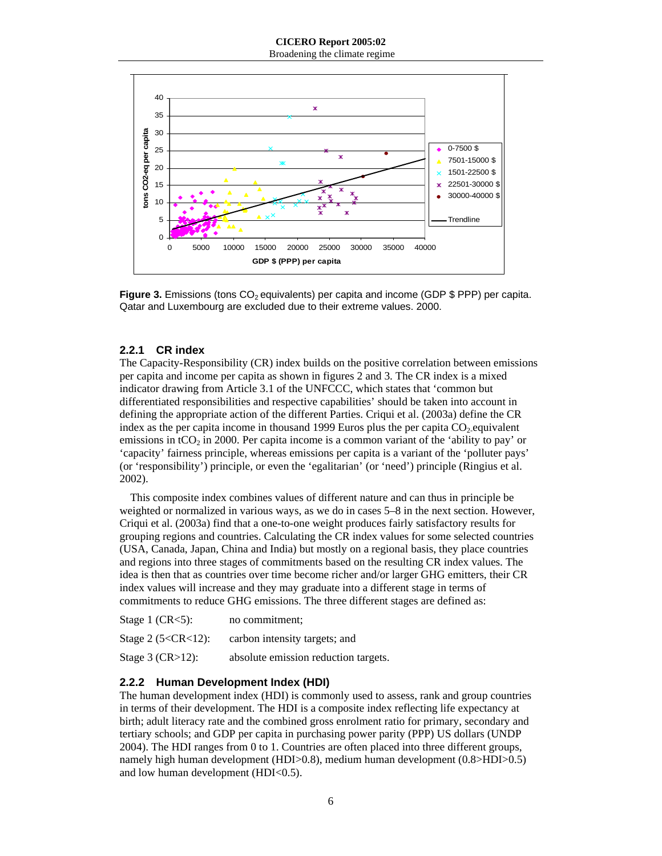Broadening the climate regime



**Figure 3.** Emissions (tons CO<sub>2</sub> equivalents) per capita and income (GDP \$ PPP) per capita. Qatar and Luxembourg are excluded due to their extreme values. 2000.

#### **2.2.1 CR index**

The Capacity-Responsibility (CR) index builds on the positive correlation between emissions per capita and income per capita as shown in figures 2 and 3. The CR index is a mixed indicator drawing from Article 3.1 of the UNFCCC, which states that 'common but differentiated responsibilities and respective capabilities' should be taken into account in defining the appropriate action of the different Parties. Criqui et al. (2003a) define the CR index as the per capita income in thousand 1999 Euros plus the per capita  $CO<sub>2</sub>$ -equivalent emissions in tCO<sub>2</sub> in 2000. Per capita income is a common variant of the 'ability to pay' or 'capacity' fairness principle, whereas emissions per capita is a variant of the 'polluter pays' (or 'responsibility') principle, or even the 'egalitarian' (or 'need') principle (Ringius et al. 2002).

This composite index combines values of different nature and can thus in principle be weighted or normalized in various ways, as we do in cases 5–8 in the next section. However, Criqui et al. (2003a) find that a one-to-one weight produces fairly satisfactory results for grouping regions and countries. Calculating the CR index values for some selected countries (USA, Canada, Japan, China and India) but mostly on a regional basis, they place countries and regions into three stages of commitments based on the resulting CR index values. The idea is then that as countries over time become richer and/or larger GHG emitters, their CR index values will increase and they may graduate into a different stage in terms of commitments to reduce GHG emissions. The three different stages are defined as:

| Stage 1 $(CR<5)$ :        | no commitment:                       |
|---------------------------|--------------------------------------|
| Stage 2 $(5 < CR < 12)$ : | carbon intensity targets; and        |
| Stage $3$ (CR $>12$ ):    | absolute emission reduction targets. |

#### **2.2.2 Human Development Index (HDI)**

The human development index (HDI) is commonly used to assess, rank and group countries in terms of their development. The HDI is a composite index reflecting life expectancy at birth; adult literacy rate and the combined gross enrolment ratio for primary, secondary and tertiary schools; and GDP per capita in purchasing power parity (PPP) US dollars (UNDP 2004). The HDI ranges from 0 to 1. Countries are often placed into three different groups, namely high human development (HDI>0.8), medium human development (0.8>HDI>0.5) and low human development (HDI<0.5).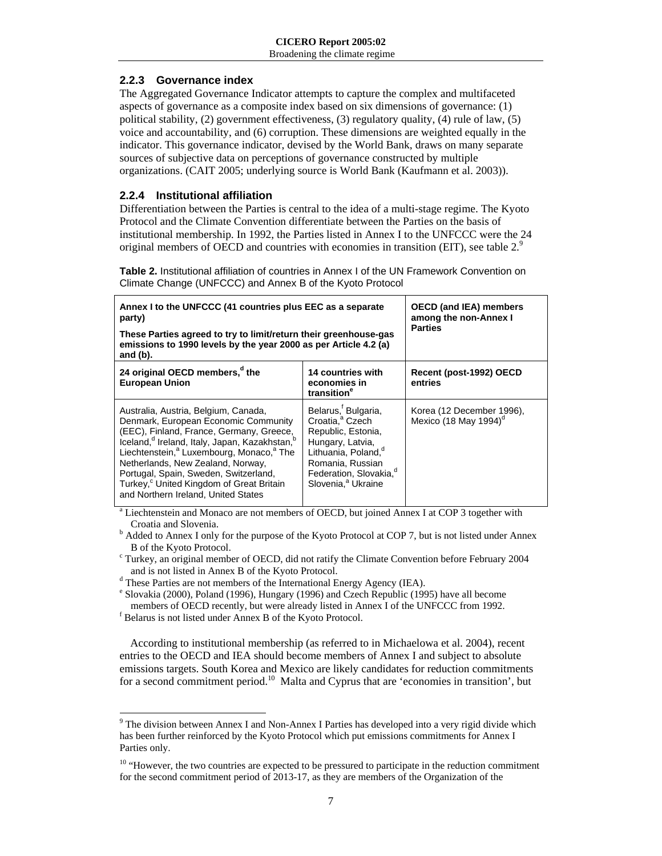## **2.2.3 Governance index**

The Aggregated Governance Indicator attempts to capture the complex and multifaceted aspects of governance as a composite index based on six dimensions of governance: (1) political stability, (2) government effectiveness, (3) regulatory quality, (4) rule of law, (5) voice and accountability, and (6) corruption. These dimensions are weighted equally in the indicator. This governance indicator, devised by the World Bank, draws on many separate sources of subjective data on perceptions of governance constructed by multiple organizations. (CAIT 2005; underlying source is World Bank (Kaufmann et al. 2003)).

## **2.2.4 Institutional affiliation**

Differentiation between the Parties is central to the idea of a multi-stage regime. The Kyoto Protocol and the Climate Convention differentiate between the Parties on the basis of institutional membership. In 1992, the Parties listed in Annex I to the UNFCCC were the 24 original members of OECD and countries with economies in transition (EIT), see table  $2<sup>9</sup>$ 

**Table 2.** Institutional affiliation of countries in Annex I of the UN Framework Convention on Climate Change (UNFCCC) and Annex B of the Kyoto Protocol

| Annex I to the UNFCCC (41 countries plus EEC as a separate<br>party)<br>These Parties agreed to try to limit/return their greenhouse-gas<br>emissions to 1990 levels by the year 2000 as per Article 4.2 (a)<br>and $(b)$ .                                                                                                                                                                                                                        | <b>OECD (and IEA) members</b><br>among the non-Annex I<br><b>Parties</b>                                                                                                                                                                |                                                                |
|----------------------------------------------------------------------------------------------------------------------------------------------------------------------------------------------------------------------------------------------------------------------------------------------------------------------------------------------------------------------------------------------------------------------------------------------------|-----------------------------------------------------------------------------------------------------------------------------------------------------------------------------------------------------------------------------------------|----------------------------------------------------------------|
| 24 original OECD members, <sup>d</sup> the<br><b>European Union</b>                                                                                                                                                                                                                                                                                                                                                                                | <b>14 countries with</b><br>economies in<br>transition <sup>e</sup>                                                                                                                                                                     | Recent (post-1992) OECD<br>entries                             |
| Australia, Austria, Belgium, Canada,<br>Denmark, European Economic Community<br>(EEC), Finland, France, Germany, Greece,<br>Iceland, <sup>d</sup> Ireland, Italy, Japan, Kazakhstan, <sup>t</sup><br>Liechtenstein, <sup>a</sup> Luxembourg, Monaco, <sup>a</sup> The<br>Netherlands, New Zealand, Norway,<br>Portugal, Spain, Sweden, Switzerland,<br>Turkey, <sup>c</sup> United Kingdom of Great Britain<br>and Northern Ireland. United States | Belarus, <sup>f</sup> Bulgaria,<br>Croatia. <sup>ª</sup> Czech<br>Republic, Estonia,<br>Hungary, Latvia,<br>Lithuania, Poland, <sup>a</sup><br>Romania, Russian<br>Federation, Slovakia. <sup>d</sup><br>Slovenia, <sup>a</sup> Ukraine | Korea (12 December 1996),<br>Mexico (18 May 1994) <sup>d</sup> |

<sup>a</sup> Liechtenstein and Monaco are not members of OECD, but joined Annex I at COP 3 together with Croatia and Slovenia. b

<sup>b</sup> Added to Annex I only for the purpose of the Kyoto Protocol at COP 7, but is not listed under Annex B of the Kyoto Protocol.

 Turkey, an original member of OECD, did not ratify the Climate Convention before February 2004 and is not listed in Annex B of the Kyoto Protocol.

<sup>d</sup> These Parties are not members of the International Energy Agency (IEA).

e Slovakia (2000), Poland (1996), Hungary (1996) and Czech Republic (1995) have all become members of OECD recently, but were already listed in Annex I of the UNFCCC from 1992.

 $f$  Belarus is not listed under Annex B of the Kyoto Protocol.

 $\overline{\phantom{a}}$ 

According to institutional membership (as referred to in Michaelowa et al. 2004), recent entries to the OECD and IEA should become members of Annex I and subject to absolute emissions targets. South Korea and Mexico are likely candidates for reduction commitments for a second commitment period.<sup>10</sup> Malta and Cyprus that are 'economies in transition', but

<sup>&</sup>lt;sup>9</sup> The division between Annex I and Non-Annex I Parties has developed into a very rigid divide which has been further reinforced by the Kyoto Protocol which put emissions commitments for Annex I Parties only.

<sup>&</sup>lt;sup>10</sup> "However, the two countries are expected to be pressured to participate in the reduction commitment for the second commitment period of 2013-17, as they are members of the Organization of the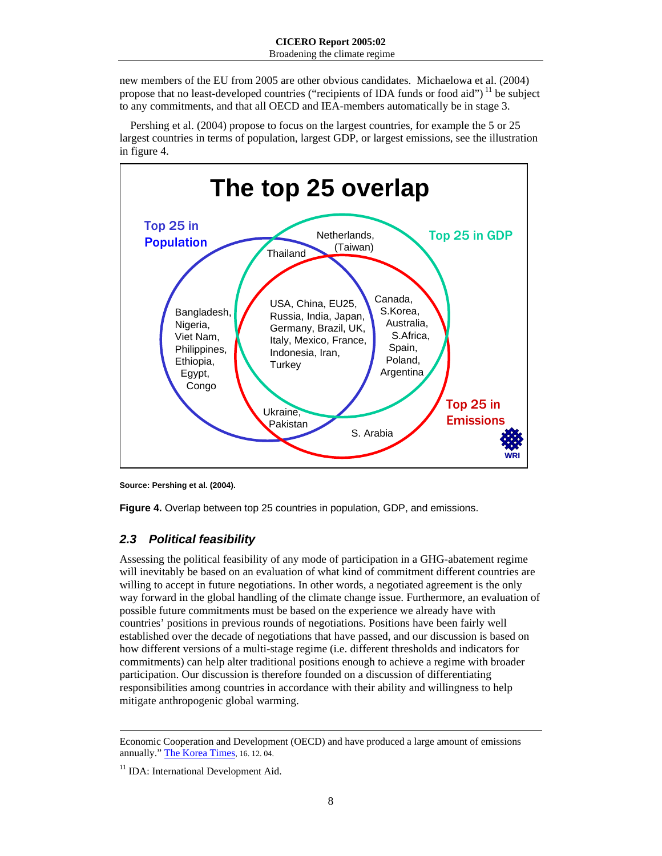new members of the EU from 2005 are other obvious candidates. Michaelowa et al. (2004) propose that no least-developed countries ("recipients of IDA funds or food aid")  $\frac{11}{10}$  be subject to any commitments, and that all OECD and IEA-members automatically be in stage 3.

Pershing et al. (2004) propose to focus on the largest countries, for example the 5 or 25 largest countries in terms of population, largest GDP, or largest emissions, see the illustration in figure 4.



**Source: Pershing et al. (2004).** 

**Figure 4.** Overlap between top 25 countries in population, GDP, and emissions.

## *2.3 Political feasibility*

Assessing the political feasibility of any mode of participation in a GHG-abatement regime will inevitably be based on an evaluation of what kind of commitment different countries are willing to accept in future negotiations. In other words, a negotiated agreement is the only way forward in the global handling of the climate change issue. Furthermore, an evaluation of possible future commitments must be based on the experience we already have with countries' positions in previous rounds of negotiations. Positions have been fairly well established over the decade of negotiations that have passed, and our discussion is based on how different versions of a multi-stage regime (i.e. different thresholds and indicators for commitments) can help alter traditional positions enough to achieve a regime with broader participation. Our discussion is therefore founded on a discussion of differentiating responsibilities among countries in accordance with their ability and willingness to help mitigate anthropogenic global warming.

 $\overline{a}$ 

Economic Cooperation and Development (OECD) and have produced a large amount of emissions annually." The Korea Times, 16. 12. 04.

<sup>&</sup>lt;sup>11</sup> IDA: International Development Aid.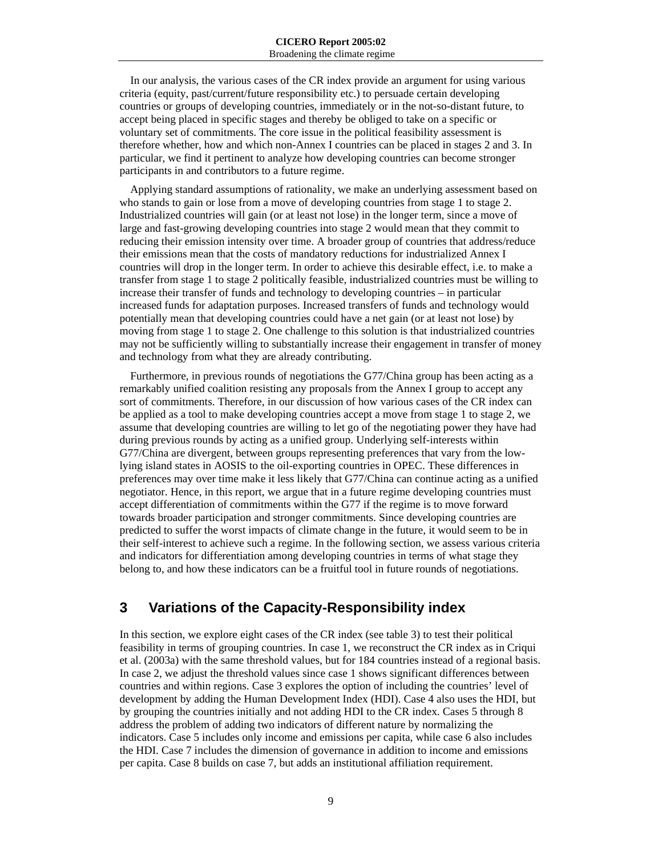In our analysis, the various cases of the CR index provide an argument for using various criteria (equity, past/current/future responsibility etc.) to persuade certain developing countries or groups of developing countries, immediately or in the not-so-distant future, to accept being placed in specific stages and thereby be obliged to take on a specific or voluntary set of commitments. The core issue in the political feasibility assessment is therefore whether, how and which non-Annex I countries can be placed in stages 2 and 3. In particular, we find it pertinent to analyze how developing countries can become stronger participants in and contributors to a future regime.

Applying standard assumptions of rationality, we make an underlying assessment based on who stands to gain or lose from a move of developing countries from stage 1 to stage 2. Industrialized countries will gain (or at least not lose) in the longer term, since a move of large and fast-growing developing countries into stage 2 would mean that they commit to reducing their emission intensity over time. A broader group of countries that address/reduce their emissions mean that the costs of mandatory reductions for industrialized Annex I countries will drop in the longer term. In order to achieve this desirable effect, i.e. to make a transfer from stage 1 to stage 2 politically feasible, industrialized countries must be willing to increase their transfer of funds and technology to developing countries – in particular increased funds for adaptation purposes. Increased transfers of funds and technology would potentially mean that developing countries could have a net gain (or at least not lose) by moving from stage 1 to stage 2. One challenge to this solution is that industrialized countries may not be sufficiently willing to substantially increase their engagement in transfer of money and technology from what they are already contributing.

Furthermore, in previous rounds of negotiations the G77/China group has been acting as a remarkably unified coalition resisting any proposals from the Annex I group to accept any sort of commitments. Therefore, in our discussion of how various cases of the CR index can be applied as a tool to make developing countries accept a move from stage 1 to stage 2, we assume that developing countries are willing to let go of the negotiating power they have had during previous rounds by acting as a unified group. Underlying self-interests within G77/China are divergent, between groups representing preferences that vary from the lowlying island states in AOSIS to the oil-exporting countries in OPEC. These differences in preferences may over time make it less likely that G77/China can continue acting as a unified negotiator. Hence, in this report, we argue that in a future regime developing countries must accept differentiation of commitments within the G77 if the regime is to move forward towards broader participation and stronger commitments. Since developing countries are predicted to suffer the worst impacts of climate change in the future, it would seem to be in their self-interest to achieve such a regime. In the following section, we assess various criteria and indicators for differentiation among developing countries in terms of what stage they belong to, and how these indicators can be a fruitful tool in future rounds of negotiations.

# **3 Variations of the Capacity-Responsibility index**

In this section, we explore eight cases of the CR index (see table 3) to test their political feasibility in terms of grouping countries. In case 1, we reconstruct the CR index as in Criqui et al. (2003a) with the same threshold values, but for 184 countries instead of a regional basis. In case 2, we adjust the threshold values since case 1 shows significant differences between countries and within regions. Case 3 explores the option of including the countries' level of development by adding the Human Development Index (HDI). Case 4 also uses the HDI, but by grouping the countries initially and not adding HDI to the CR index. Cases 5 through 8 address the problem of adding two indicators of different nature by normalizing the indicators. Case 5 includes only income and emissions per capita, while case 6 also includes the HDI. Case 7 includes the dimension of governance in addition to income and emissions per capita. Case 8 builds on case 7, but adds an institutional affiliation requirement.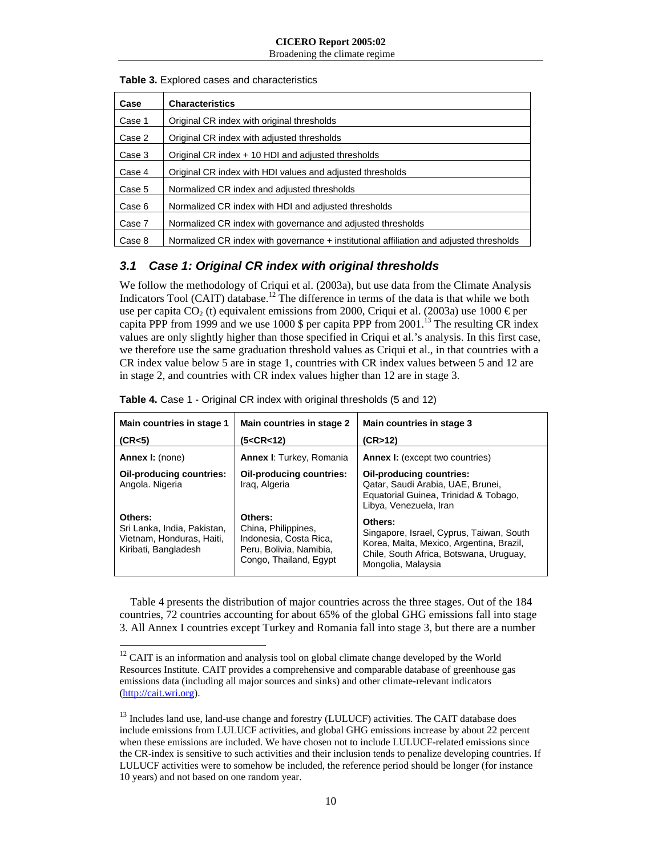Broadening the climate regime

#### **Table 3.** Explored cases and characteristics

| Case   | <b>Characteristics</b>                                                                  |
|--------|-----------------------------------------------------------------------------------------|
| Case 1 | Original CR index with original thresholds                                              |
| Case 2 | Original CR index with adjusted thresholds                                              |
| Case 3 | Original CR index + 10 HDI and adjusted thresholds                                      |
| Case 4 | Original CR index with HDI values and adjusted thresholds                               |
| Case 5 | Normalized CR index and adjusted thresholds                                             |
| Case 6 | Normalized CR index with HDI and adjusted thresholds                                    |
| Case 7 | Normalized CR index with governance and adjusted thresholds                             |
| Case 8 | Normalized CR index with governance + institutional affiliation and adjusted thresholds |

## *3.1 Case 1: Original CR index with original thresholds*

We follow the methodology of Criqui et al. (2003a), but use data from the Climate Analysis Indicators Tool (CAIT) database.<sup>12</sup> The difference in terms of the data is that while we both use per capita  $CO<sub>2</sub>$  (t) equivalent emissions from 2000, Criqui et al. (2003a) use 1000  $\epsilon$  per capita PPP from 1999 and we use 1000 \$ per capita PPP from  $2001$ .<sup>13</sup> The resulting CR index values are only slightly higher than those specified in Criqui et al.'s analysis. In this first case, we therefore use the same graduation threshold values as Criqui et al., in that countries with a CR index value below 5 are in stage 1, countries with CR index values between 5 and 12 are in stage 2, and countries with CR index values higher than 12 are in stage 3.

| Main countries in stage 1<br>(CR<5)                                                         | Main countries in stage 2<br>(5 <cr<12)< th=""><th>Main countries in stage 3<br/>(CR&gt;12)</th></cr<12)<>    | Main countries in stage 3<br>(CR>12)                                                                                                                             |
|---------------------------------------------------------------------------------------------|---------------------------------------------------------------------------------------------------------------|------------------------------------------------------------------------------------------------------------------------------------------------------------------|
| Annex I: (none)                                                                             | Annex I: Turkey, Romania                                                                                      | <b>Annex I:</b> (except two countries)                                                                                                                           |
| <b>Oil-producing countries:</b><br>Angola. Nigeria                                          | <b>Oil-producing countries:</b><br>Iraq, Algeria                                                              | Oil-producing countries:<br>Qatar, Saudi Arabia, UAE, Brunei,<br>Equatorial Guinea, Trinidad & Tobago,<br>Libya, Venezuela, Iran                                 |
| Others:<br>Sri Lanka, India, Pakistan,<br>Vietnam, Honduras, Haiti,<br>Kiribati, Bangladesh | Others:<br>China, Philippines,<br>Indonesia, Costa Rica,<br>Peru, Bolivia, Namibia,<br>Congo, Thailand, Egypt | Others:<br>Singapore, Israel, Cyprus, Taiwan, South<br>Korea, Malta, Mexico, Argentina, Brazil,<br>Chile, South Africa, Botswana, Uruguay,<br>Mongolia, Malaysia |

**Table 4.** Case 1 - Original CR index with original thresholds (5 and 12)

Table 4 presents the distribution of major countries across the three stages. Out of the 184 countries, 72 countries accounting for about 65% of the global GHG emissions fall into stage 3. All Annex I countries except Turkey and Romania fall into stage 3, but there are a number

 $\overline{a}$ 

 $12$  CAIT is an information and analysis tool on global climate change developed by the World Resources Institute. CAIT provides a comprehensive and comparable database of greenhouse gas emissions data (including all major sources and sinks) and other climate-relevant indicators (http://cait.wri.org).

<sup>&</sup>lt;sup>13</sup> Includes land use, land-use change and forestry (LULUCF) activities. The CAIT database does include emissions from LULUCF activities, and global GHG emissions increase by about 22 percent when these emissions are included. We have chosen not to include LULUCF-related emissions since the CR-index is sensitive to such activities and their inclusion tends to penalize developing countries. If LULUCF activities were to somehow be included, the reference period should be longer (for instance 10 years) and not based on one random year.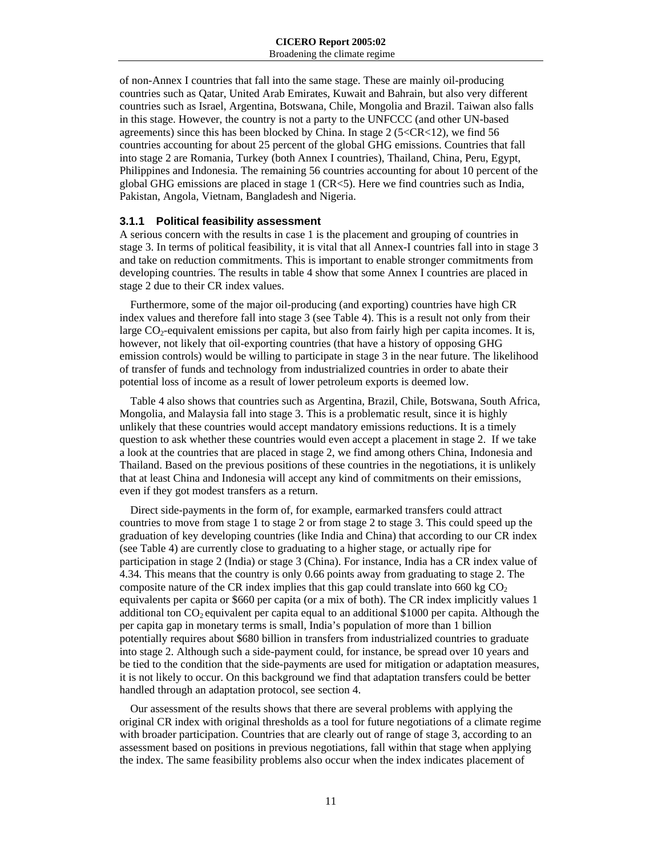of non-Annex I countries that fall into the same stage. These are mainly oil-producing countries such as Qatar, United Arab Emirates, Kuwait and Bahrain, but also very different countries such as Israel, Argentina, Botswana, Chile, Mongolia and Brazil. Taiwan also falls in this stage. However, the country is not a party to the UNFCCC (and other UN-based agreements) since this has been blocked by China. In stage  $2$  (5<CR<12), we find 56 countries accounting for about 25 percent of the global GHG emissions. Countries that fall into stage 2 are Romania, Turkey (both Annex I countries), Thailand, China, Peru, Egypt, Philippines and Indonesia. The remaining 56 countries accounting for about 10 percent of the global GHG emissions are placed in stage 1 (CR<5). Here we find countries such as India, Pakistan, Angola, Vietnam, Bangladesh and Nigeria.

#### **3.1.1 Political feasibility assessment**

A serious concern with the results in case 1 is the placement and grouping of countries in stage 3. In terms of political feasibility, it is vital that all Annex-I countries fall into in stage 3 and take on reduction commitments. This is important to enable stronger commitments from developing countries. The results in table 4 show that some Annex I countries are placed in stage 2 due to their CR index values.

Furthermore, some of the major oil-producing (and exporting) countries have high CR index values and therefore fall into stage 3 (see Table 4). This is a result not only from their large  $CO<sub>2</sub>$ -equivalent emissions per capita, but also from fairly high per capita incomes. It is, however, not likely that oil-exporting countries (that have a history of opposing GHG emission controls) would be willing to participate in stage 3 in the near future. The likelihood of transfer of funds and technology from industrialized countries in order to abate their potential loss of income as a result of lower petroleum exports is deemed low.

Table 4 also shows that countries such as Argentina, Brazil, Chile, Botswana, South Africa, Mongolia, and Malaysia fall into stage 3. This is a problematic result, since it is highly unlikely that these countries would accept mandatory emissions reductions. It is a timely question to ask whether these countries would even accept a placement in stage 2. If we take a look at the countries that are placed in stage 2, we find among others China, Indonesia and Thailand. Based on the previous positions of these countries in the negotiations, it is unlikely that at least China and Indonesia will accept any kind of commitments on their emissions, even if they got modest transfers as a return.

Direct side-payments in the form of, for example, earmarked transfers could attract countries to move from stage 1 to stage 2 or from stage 2 to stage 3. This could speed up the graduation of key developing countries (like India and China) that according to our CR index (see Table 4) are currently close to graduating to a higher stage, or actually ripe for participation in stage 2 (India) or stage 3 (China). For instance, India has a CR index value of 4.34. This means that the country is only 0.66 points away from graduating to stage 2. The composite nature of the CR index implies that this gap could translate into 660 kg  $CO<sub>2</sub>$ equivalents per capita or \$660 per capita (or a mix of both). The CR index implicitly values 1 additional ton  $CO<sub>2</sub>$  equivalent per capita equal to an additional \$1000 per capita. Although the per capita gap in monetary terms is small, India's population of more than 1 billion potentially requires about \$680 billion in transfers from industrialized countries to graduate into stage 2. Although such a side-payment could, for instance, be spread over 10 years and be tied to the condition that the side-payments are used for mitigation or adaptation measures, it is not likely to occur. On this background we find that adaptation transfers could be better handled through an adaptation protocol, see section 4.

Our assessment of the results shows that there are several problems with applying the original CR index with original thresholds as a tool for future negotiations of a climate regime with broader participation. Countries that are clearly out of range of stage 3, according to an assessment based on positions in previous negotiations, fall within that stage when applying the index. The same feasibility problems also occur when the index indicates placement of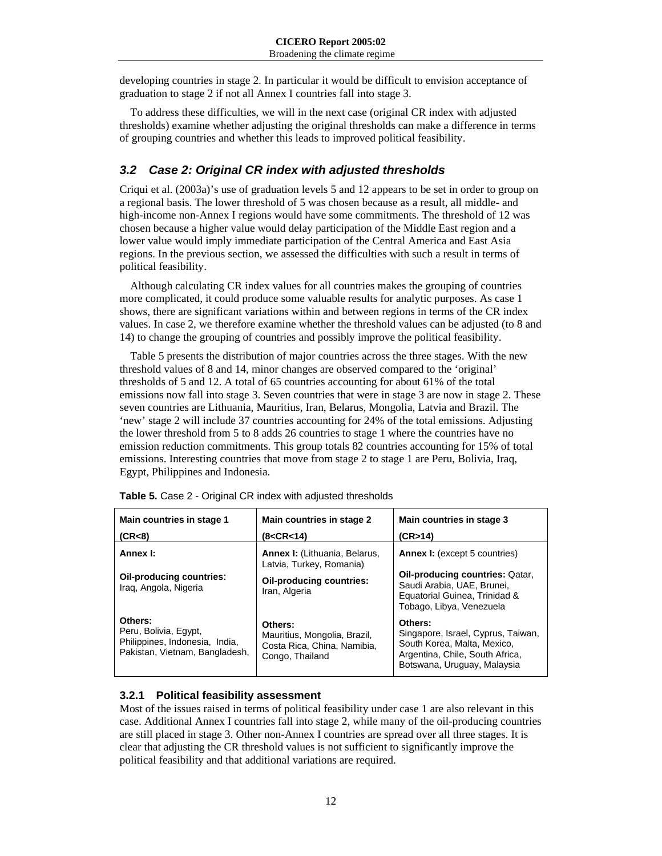developing countries in stage 2. In particular it would be difficult to envision acceptance of graduation to stage 2 if not all Annex I countries fall into stage 3.

To address these difficulties, we will in the next case (original CR index with adjusted thresholds) examine whether adjusting the original thresholds can make a difference in terms of grouping countries and whether this leads to improved political feasibility.

## *3.2 Case 2: Original CR index with adjusted thresholds*

Criqui et al. (2003a)'s use of graduation levels 5 and 12 appears to be set in order to group on a regional basis. The lower threshold of 5 was chosen because as a result, all middle- and high-income non-Annex I regions would have some commitments. The threshold of 12 was chosen because a higher value would delay participation of the Middle East region and a lower value would imply immediate participation of the Central America and East Asia regions. In the previous section, we assessed the difficulties with such a result in terms of political feasibility.

Although calculating CR index values for all countries makes the grouping of countries more complicated, it could produce some valuable results for analytic purposes. As case 1 shows, there are significant variations within and between regions in terms of the CR index values. In case 2, we therefore examine whether the threshold values can be adjusted (to 8 and 14) to change the grouping of countries and possibly improve the political feasibility.

Table 5 presents the distribution of major countries across the three stages. With the new threshold values of 8 and 14, minor changes are observed compared to the 'original' thresholds of 5 and 12. A total of 65 countries accounting for about 61% of the total emissions now fall into stage 3. Seven countries that were in stage 3 are now in stage 2. These seven countries are Lithuania, Mauritius, Iran, Belarus, Mongolia, Latvia and Brazil. The 'new' stage 2 will include 37 countries accounting for 24% of the total emissions. Adjusting the lower threshold from 5 to 8 adds 26 countries to stage 1 where the countries have no emission reduction commitments. This group totals 82 countries accounting for 15% of total emissions. Interesting countries that move from stage 2 to stage 1 are Peru, Bolivia, Iraq, Egypt, Philippines and Indonesia.

| Main countries in stage 1<br>(CR<8)                                                                  | Main countries in stage 2<br>(8 <cr<14)< th=""><th>Main countries in stage 3<br/>(CR&gt;14)</th></cr<14)<> | Main countries in stage 3<br>(CR>14)                                                                                                           |
|------------------------------------------------------------------------------------------------------|------------------------------------------------------------------------------------------------------------|------------------------------------------------------------------------------------------------------------------------------------------------|
| Annex I:                                                                                             | <b>Annex I:</b> (Lithuania, Belarus,<br>Latvia, Turkey, Romania)                                           | <b>Annex I:</b> (except 5 countries)                                                                                                           |
| Oil-producing countries:<br>Iraq, Angola, Nigeria                                                    | Oil-producing countries:<br>Iran, Algeria                                                                  | <b>Oil-producing countries: Qatar,</b><br>Saudi Arabia, UAE, Brunei,<br>Equatorial Guinea, Trinidad &<br>Tobago, Libya, Venezuela              |
| Others:<br>Peru, Bolivia, Egypt,<br>Philippines, Indonesia, India,<br>Pakistan, Vietnam, Bangladesh, | Others:<br>Mauritius, Mongolia, Brazil,<br>Costa Rica, China, Namibia,<br>Congo, Thailand                  | Others:<br>Singapore, Israel, Cyprus, Taiwan,<br>South Korea, Malta, Mexico,<br>Argentina, Chile, South Africa,<br>Botswana, Uruguay, Malaysia |

**Table 5.** Case 2 - Original CR index with adjusted thresholds

## **3.2.1 Political feasibility assessment**

Most of the issues raised in terms of political feasibility under case 1 are also relevant in this case. Additional Annex I countries fall into stage 2, while many of the oil-producing countries are still placed in stage 3. Other non-Annex I countries are spread over all three stages. It is clear that adjusting the CR threshold values is not sufficient to significantly improve the political feasibility and that additional variations are required.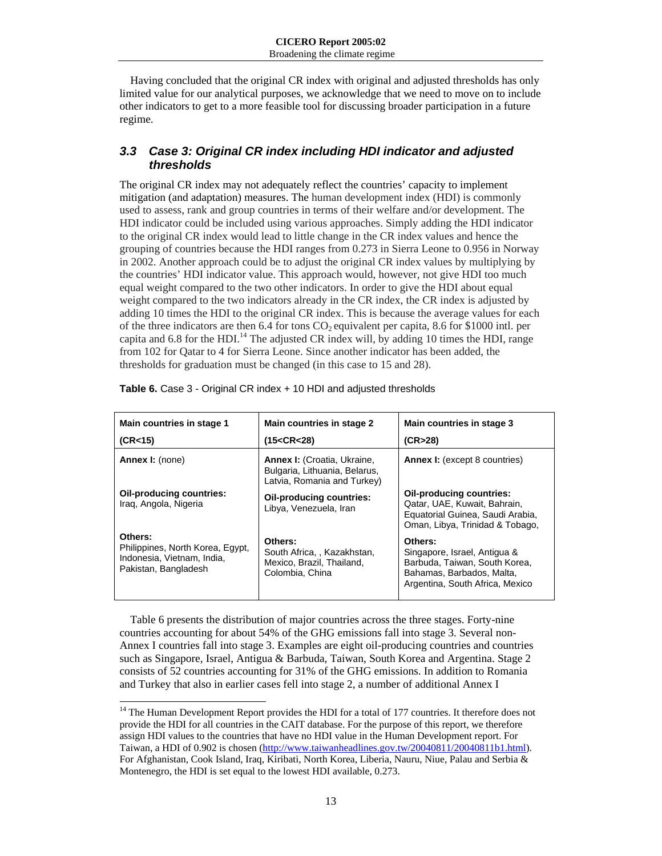Having concluded that the original CR index with original and adjusted thresholds has only limited value for our analytical purposes, we acknowledge that we need to move on to include other indicators to get to a more feasible tool for discussing broader participation in a future regime.

## *3.3 Case 3: Original CR index including HDI indicator and adjusted thresholds*

The original CR index may not adequately reflect the countries' capacity to implement mitigation (and adaptation) measures. The human development index (HDI) is commonly used to assess, rank and group countries in terms of their welfare and/or development. The HDI indicator could be included using various approaches. Simply adding the HDI indicator to the original CR index would lead to little change in the CR index values and hence the grouping of countries because the HDI ranges from 0.273 in Sierra Leone to 0.956 in Norway in 2002. Another approach could be to adjust the original CR index values by multiplying by the countries' HDI indicator value. This approach would, however, not give HDI too much equal weight compared to the two other indicators. In order to give the HDI about equal weight compared to the two indicators already in the CR index, the CR index is adjusted by adding 10 times the HDI to the original CR index. This is because the average values for each of the three indicators are then 6.4 for tons CO2 equivalent per capita, 8.6 for \$1000 intl. per capita and  $6.8$  for the HDI.<sup>14</sup> The adjusted CR index will, by adding 10 times the HDI, range from 102 for Qatar to 4 for Sierra Leone. Since another indicator has been added, the thresholds for graduation must be changed (in this case to 15 and 28).

| Main countries in stage 1<br>(CR<15)                                                              | Main countries in stage 2<br>(15 < CR < 28)                                                        | Main countries in stage 3<br>(CR>28)                                                                                                     |
|---------------------------------------------------------------------------------------------------|----------------------------------------------------------------------------------------------------|------------------------------------------------------------------------------------------------------------------------------------------|
| <b>Annex I:</b> (none)                                                                            | <b>Annex I:</b> (Croatia, Ukraine,<br>Bulgaria, Lithuania, Belarus,<br>Latvia, Romania and Turkey) | <b>Annex I:</b> (except 8 countries)                                                                                                     |
| Oil-producing countries:<br>Iraq, Angola, Nigeria                                                 | Oil-producing countries:<br>Libya, Venezuela, Iran                                                 | Oil-producing countries:<br>Qatar, UAE, Kuwait, Bahrain,<br>Equatorial Guinea, Saudi Arabia,<br>Oman, Libya, Trinidad & Tobago,          |
| Others:<br>Philippines, North Korea, Egypt,<br>Indonesia, Vietnam, India,<br>Pakistan, Bangladesh | Others:<br>South Africa, , Kazakhstan,<br>Mexico, Brazil, Thailand,<br>Colombia, China             | Others:<br>Singapore, Israel, Antigua &<br>Barbuda, Taiwan, South Korea,<br>Bahamas, Barbados, Malta,<br>Argentina, South Africa, Mexico |

|  | <b>Table 6.</b> Case 3 - Original CR index + 10 HDI and adjusted thresholds |
|--|-----------------------------------------------------------------------------|
|--|-----------------------------------------------------------------------------|

Table 6 presents the distribution of major countries across the three stages. Forty-nine countries accounting for about 54% of the GHG emissions fall into stage 3. Several non-Annex I countries fall into stage 3. Examples are eight oil-producing countries and countries such as Singapore, Israel, Antigua & Barbuda, Taiwan, South Korea and Argentina. Stage 2 consists of 52 countries accounting for 31% of the GHG emissions. In addition to Romania and Turkey that also in earlier cases fell into stage 2, a number of additional Annex I

 $\overline{a}$ 

<sup>&</sup>lt;sup>14</sup> The Human Development Report provides the HDI for a total of 177 countries. It therefore does not provide the HDI for all countries in the CAIT database. For the purpose of this report, we therefore assign HDI values to the countries that have no HDI value in the Human Development report. For Taiwan, a HDI of 0.902 is chosen (http://www.taiwanheadlines.gov.tw/20040811/20040811b1.html). For Afghanistan, Cook Island, Iraq, Kiribati, North Korea, Liberia, Nauru, Niue, Palau and Serbia & Montenegro, the HDI is set equal to the lowest HDI available, 0.273.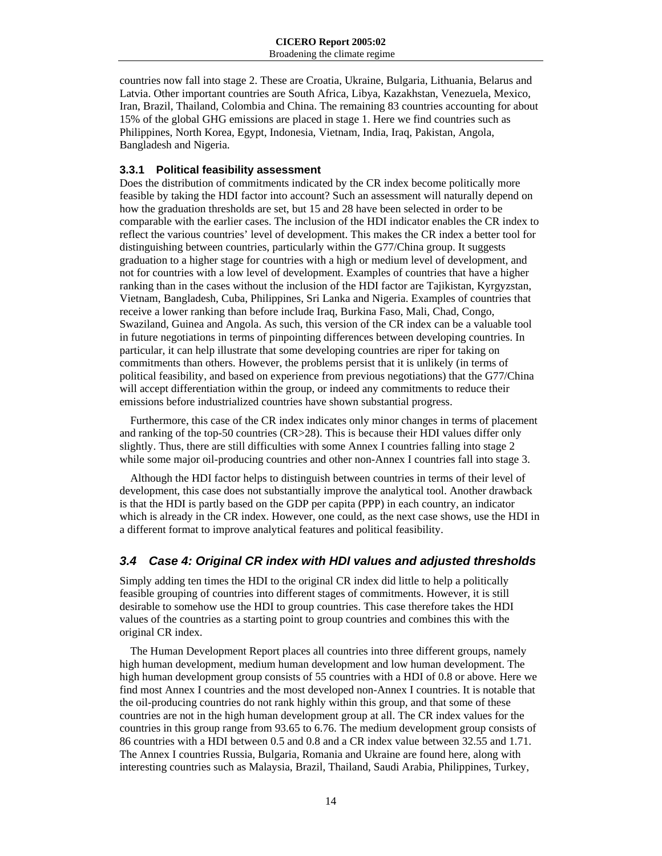countries now fall into stage 2. These are Croatia, Ukraine, Bulgaria, Lithuania, Belarus and Latvia. Other important countries are South Africa, Libya, Kazakhstan, Venezuela, Mexico, Iran, Brazil, Thailand, Colombia and China. The remaining 83 countries accounting for about 15% of the global GHG emissions are placed in stage 1. Here we find countries such as Philippines, North Korea, Egypt, Indonesia, Vietnam, India, Iraq, Pakistan, Angola, Bangladesh and Nigeria.

#### **3.3.1 Political feasibility assessment**

Does the distribution of commitments indicated by the CR index become politically more feasible by taking the HDI factor into account? Such an assessment will naturally depend on how the graduation thresholds are set, but 15 and 28 have been selected in order to be comparable with the earlier cases. The inclusion of the HDI indicator enables the CR index to reflect the various countries' level of development. This makes the CR index a better tool for distinguishing between countries, particularly within the G77/China group. It suggests graduation to a higher stage for countries with a high or medium level of development, and not for countries with a low level of development. Examples of countries that have a higher ranking than in the cases without the inclusion of the HDI factor are Tajikistan, Kyrgyzstan, Vietnam, Bangladesh, Cuba, Philippines, Sri Lanka and Nigeria. Examples of countries that receive a lower ranking than before include Iraq, Burkina Faso, Mali, Chad, Congo, Swaziland, Guinea and Angola. As such, this version of the CR index can be a valuable tool in future negotiations in terms of pinpointing differences between developing countries. In particular, it can help illustrate that some developing countries are riper for taking on commitments than others. However, the problems persist that it is unlikely (in terms of political feasibility, and based on experience from previous negotiations) that the G77/China will accept differentiation within the group, or indeed any commitments to reduce their emissions before industrialized countries have shown substantial progress.

Furthermore, this case of the CR index indicates only minor changes in terms of placement and ranking of the top-50 countries (CR>28). This is because their HDI values differ only slightly. Thus, there are still difficulties with some Annex I countries falling into stage 2 while some major oil-producing countries and other non-Annex I countries fall into stage 3.

Although the HDI factor helps to distinguish between countries in terms of their level of development, this case does not substantially improve the analytical tool. Another drawback is that the HDI is partly based on the GDP per capita (PPP) in each country, an indicator which is already in the CR index. However, one could, as the next case shows, use the HDI in a different format to improve analytical features and political feasibility.

## *3.4 Case 4: Original CR index with HDI values and adjusted thresholds*

Simply adding ten times the HDI to the original CR index did little to help a politically feasible grouping of countries into different stages of commitments. However, it is still desirable to somehow use the HDI to group countries. This case therefore takes the HDI values of the countries as a starting point to group countries and combines this with the original CR index.

The Human Development Report places all countries into three different groups, namely high human development, medium human development and low human development. The high human development group consists of 55 countries with a HDI of 0.8 or above. Here we find most Annex I countries and the most developed non-Annex I countries. It is notable that the oil-producing countries do not rank highly within this group, and that some of these countries are not in the high human development group at all. The CR index values for the countries in this group range from 93.65 to 6.76. The medium development group consists of 86 countries with a HDI between 0.5 and 0.8 and a CR index value between 32.55 and 1.71. The Annex I countries Russia, Bulgaria, Romania and Ukraine are found here, along with interesting countries such as Malaysia, Brazil, Thailand, Saudi Arabia, Philippines, Turkey,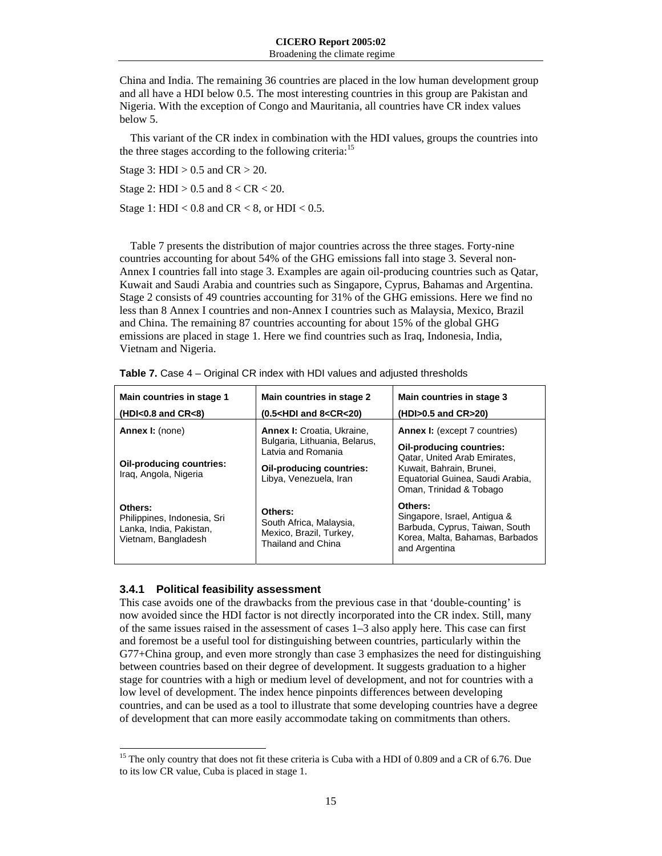China and India. The remaining 36 countries are placed in the low human development group and all have a HDI below 0.5. The most interesting countries in this group are Pakistan and Nigeria. With the exception of Congo and Mauritania, all countries have CR index values below 5.

This variant of the CR index in combination with the HDI values, groups the countries into the three stages according to the following criteria:<sup>15</sup>

Stage 3: HDI  $> 0.5$  and  $CR > 20$ .

Stage 2:  $HDI > 0.5$  and  $8 < CR < 20$ .

Stage 1: HDI <  $0.8$  and CR <  $8$ , or HDI <  $0.5$ .

Table 7 presents the distribution of major countries across the three stages. Forty-nine countries accounting for about 54% of the GHG emissions fall into stage 3. Several non-Annex I countries fall into stage 3. Examples are again oil-producing countries such as Qatar, Kuwait and Saudi Arabia and countries such as Singapore, Cyprus, Bahamas and Argentina. Stage 2 consists of 49 countries accounting for 31% of the GHG emissions. Here we find no less than 8 Annex I countries and non-Annex I countries such as Malaysia, Mexico, Brazil and China. The remaining 87 countries accounting for about 15% of the global GHG emissions are placed in stage 1. Here we find countries such as Iraq, Indonesia, India, Vietnam and Nigeria.

| Main countries in stage 1<br>$(HDI<0.8$ and $CR<8$ )                                     | Main countries in stage 2<br>$(0.5 < HDI$ and $8 < CR < 20$ )                                                                                         | Main countries in stage 3<br>(HDI>0.5 and CR>20)                                                                                                                                            |
|------------------------------------------------------------------------------------------|-------------------------------------------------------------------------------------------------------------------------------------------------------|---------------------------------------------------------------------------------------------------------------------------------------------------------------------------------------------|
| <b>Annex I:</b> (none)<br><b>Oil-producing countries:</b><br>Iraq, Angola, Nigeria       | <b>Annex I:</b> Croatia, Ukraine,<br>Bulgaria, Lithuania, Belarus,<br>Latvia and Romania<br><b>Oil-producing countries:</b><br>Libya, Venezuela, Iran | <b>Annex I:</b> (except 7 countries)<br>Oil-producing countries:<br>Qatar, United Arab Emirates,<br>Kuwait, Bahrain, Brunei,<br>Equatorial Guinea, Saudi Arabia,<br>Oman, Trinidad & Tobago |
| Others:<br>Philippines, Indonesia, Sri<br>Lanka, India, Pakistan,<br>Vietnam, Bangladesh | Others:<br>South Africa, Malaysia,<br>Mexico, Brazil, Turkey,<br>Thailand and China                                                                   | Others:<br>Singapore, Israel, Antigua &<br>Barbuda, Cyprus, Taiwan, South<br>Korea, Malta, Bahamas, Barbados<br>and Argentina                                                               |

#### **3.4.1 Political feasibility assessment**

 $\overline{a}$ 

This case avoids one of the drawbacks from the previous case in that 'double-counting' is now avoided since the HDI factor is not directly incorporated into the CR index. Still, many of the same issues raised in the assessment of cases 1–3 also apply here. This case can first and foremost be a useful tool for distinguishing between countries, particularly within the G77+China group, and even more strongly than case 3 emphasizes the need for distinguishing between countries based on their degree of development. It suggests graduation to a higher stage for countries with a high or medium level of development, and not for countries with a low level of development. The index hence pinpoints differences between developing countries, and can be used as a tool to illustrate that some developing countries have a degree of development that can more easily accommodate taking on commitments than others.

<sup>&</sup>lt;sup>15</sup> The only country that does not fit these criteria is Cuba with a HDI of 0.809 and a CR of 6.76. Due to its low CR value, Cuba is placed in stage 1.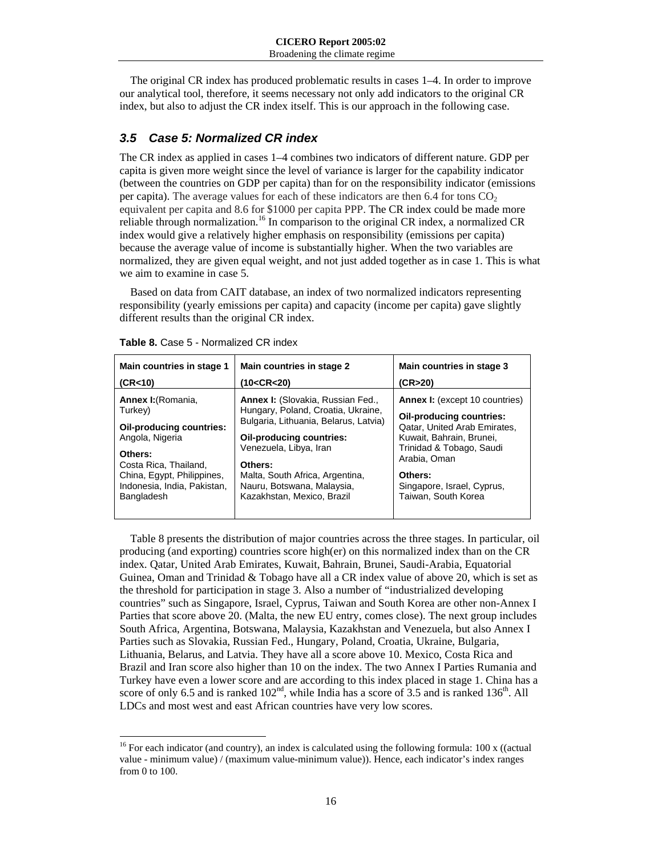The original CR index has produced problematic results in cases 1–4. In order to improve our analytical tool, therefore, it seems necessary not only add indicators to the original CR index, but also to adjust the CR index itself. This is our approach in the following case.

## *3.5 Case 5: Normalized CR index*

The CR index as applied in cases 1–4 combines two indicators of different nature. GDP per capita is given more weight since the level of variance is larger for the capability indicator (between the countries on GDP per capita) than for on the responsibility indicator (emissions per capita). The average values for each of these indicators are then  $6.4$  for tons  $CO<sub>2</sub>$ equivalent per capita and 8.6 for \$1000 per capita PPP. The CR index could be made more reliable through normalization.<sup>16</sup> In comparison to the original CR index, a normalized CR index would give a relatively higher emphasis on responsibility (emissions per capita) because the average value of income is substantially higher. When the two variables are normalized, they are given equal weight, and not just added together as in case 1. This is what we aim to examine in case 5.

Based on data from CAIT database, an index of two normalized indicators representing responsibility (yearly emissions per capita) and capacity (income per capita) gave slightly different results than the original CR index.

| Main countries in stage 1       | Main countries in stage 2                        | Main countries in stage 3             |
|---------------------------------|--------------------------------------------------|---------------------------------------|
| (CR<10)                         | (10 <cr<20)< td=""><td>(CR&gt;20)</td></cr<20)<> | (CR>20)                               |
| Annex I: (Romania,              | <b>Annex I:</b> (Slovakia, Russian Fed.,         | <b>Annex I:</b> (except 10 countries) |
| Turkey)                         | Hungary, Poland, Croatia, Ukraine,               | Oil-producing countries:              |
| <b>Oil-producing countries:</b> | Bulgaria, Lithuania, Belarus, Latvia)            | Qatar, United Arab Emirates,          |
| Angola, Nigeria                 | Oil-producing countries:                         | Kuwait, Bahrain, Brunei,              |
| Others:                         | Venezuela, Libya, Iran                           | Trinidad & Tobago, Saudi              |
| Costa Rica, Thailand,           | Others:                                          | Arabia, Oman                          |
| China, Egypt, Philippines,      | Malta, South Africa, Argentina,                  | Others:                               |
| Indonesia, India, Pakistan,     | Nauru, Botswana, Malaysia,                       | Singapore, Israel, Cyprus,            |
| Bangladesh                      | Kazakhstan, Mexico, Brazil                       | Taiwan, South Korea                   |

| <b>Table 8.</b> Case 5 - Normalized CR index |  |  |  |  |
|----------------------------------------------|--|--|--|--|
|----------------------------------------------|--|--|--|--|

 $\overline{a}$ 

Table 8 presents the distribution of major countries across the three stages. In particular, oil producing (and exporting) countries score high(er) on this normalized index than on the CR index. Qatar, United Arab Emirates, Kuwait, Bahrain, Brunei, Saudi-Arabia, Equatorial Guinea, Oman and Trinidad & Tobago have all a CR index value of above 20, which is set as the threshold for participation in stage 3. Also a number of "industrialized developing countries" such as Singapore, Israel, Cyprus, Taiwan and South Korea are other non-Annex I Parties that score above 20. (Malta, the new EU entry, comes close). The next group includes South Africa, Argentina, Botswana, Malaysia, Kazakhstan and Venezuela, but also Annex I Parties such as Slovakia, Russian Fed., Hungary, Poland, Croatia, Ukraine, Bulgaria, Lithuania, Belarus, and Latvia. They have all a score above 10. Mexico, Costa Rica and Brazil and Iran score also higher than 10 on the index. The two Annex I Parties Rumania and Turkey have even a lower score and are according to this index placed in stage 1. China has a score of only 6.5 and is ranked  $102<sup>nd</sup>$ , while India has a score of 3.5 and is ranked  $136<sup>th</sup>$ . All LDCs and most west and east African countries have very low scores.

<sup>&</sup>lt;sup>16</sup> For each indicator (and country), an index is calculated using the following formula: 100 x ((actual value - minimum value) / (maximum value-minimum value)). Hence, each indicator's index ranges from 0 to 100.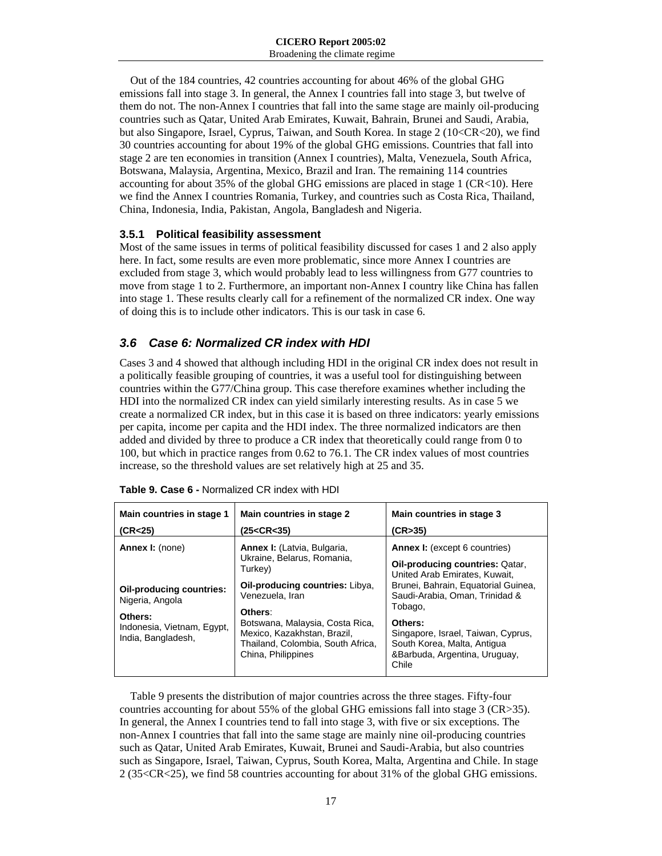Out of the 184 countries, 42 countries accounting for about 46% of the global GHG emissions fall into stage 3. In general, the Annex I countries fall into stage 3, but twelve of them do not. The non-Annex I countries that fall into the same stage are mainly oil-producing countries such as Qatar, United Arab Emirates, Kuwait, Bahrain, Brunei and Saudi, Arabia, but also Singapore, Israel, Cyprus, Taiwan, and South Korea. In stage 2 (10<CR<20), we find 30 countries accounting for about 19% of the global GHG emissions. Countries that fall into stage 2 are ten economies in transition (Annex I countries), Malta, Venezuela, South Africa, Botswana, Malaysia, Argentina, Mexico, Brazil and Iran. The remaining 114 countries accounting for about 35% of the global GHG emissions are placed in stage  $1$  (CR<10). Here we find the Annex I countries Romania, Turkey, and countries such as Costa Rica, Thailand, China, Indonesia, India, Pakistan, Angola, Bangladesh and Nigeria.

#### **3.5.1 Political feasibility assessment**

Most of the same issues in terms of political feasibility discussed for cases 1 and 2 also apply here. In fact, some results are even more problematic, since more Annex I countries are excluded from stage 3, which would probably lead to less willingness from G77 countries to move from stage 1 to 2. Furthermore, an important non-Annex I country like China has fallen into stage 1. These results clearly call for a refinement of the normalized CR index. One way of doing this is to include other indicators. This is our task in case 6.

## *3.6 Case 6: Normalized CR index with HDI*

Cases 3 and 4 showed that although including HDI in the original CR index does not result in a politically feasible grouping of countries, it was a useful tool for distinguishing between countries within the G77/China group. This case therefore examines whether including the HDI into the normalized CR index can yield similarly interesting results. As in case 5 we create a normalized CR index, but in this case it is based on three indicators: yearly emissions per capita, income per capita and the HDI index. The three normalized indicators are then added and divided by three to produce a CR index that theoretically could range from 0 to 100, but which in practice ranges from 0.62 to 76.1. The CR index values of most countries increase, so the threshold values are set relatively high at 25 and 35.

| Main countries in stage 1<br>(CR<25)                        | Main countries in stage 2<br>(25 <cr<35)< th=""><th>Main countries in stage 3<br/>(CR&gt;35)</th></cr<35)<>               | Main countries in stage 3<br>(CR>35)                                                                                   |
|-------------------------------------------------------------|---------------------------------------------------------------------------------------------------------------------------|------------------------------------------------------------------------------------------------------------------------|
| Annex I: (none)                                             | Annex I: (Latvia, Bulgaria,<br>Ukraine, Belarus, Romania,<br>Turkey)                                                      | <b>Annex I:</b> (except 6 countries)<br><b>Oil-producing countries: Qatar,</b><br>United Arab Emirates, Kuwait.        |
| <b>Oil-producing countries:</b><br>Nigeria, Angola          | Oil-producing countries: Libya.<br>Venezuela, Iran<br>Others:                                                             | Brunei, Bahrain, Equatorial Guinea,<br>Saudi-Arabia, Oman, Trinidad &<br>Tobago,                                       |
| Others:<br>Indonesia, Vietnam, Egypt,<br>India, Bangladesh, | Botswana, Malaysia, Costa Rica,<br>Mexico, Kazakhstan, Brazil.<br>Thailand, Colombia, South Africa,<br>China, Philippines | Others:<br>Singapore, Israel, Taiwan, Cyprus,<br>South Korea, Malta, Antigua<br>&Barbuda, Argentina, Uruguay,<br>Chile |

| <b>Table 9. Case 6 - Normalized CR index with HDI</b> |
|-------------------------------------------------------|
|-------------------------------------------------------|

Table 9 presents the distribution of major countries across the three stages. Fifty-four countries accounting for about 55% of the global GHG emissions fall into stage 3 (CR>35). In general, the Annex I countries tend to fall into stage 3, with five or six exceptions. The non-Annex I countries that fall into the same stage are mainly nine oil-producing countries such as Qatar, United Arab Emirates, Kuwait, Brunei and Saudi-Arabia, but also countries such as Singapore, Israel, Taiwan, Cyprus, South Korea, Malta, Argentina and Chile. In stage 2 (35<CR<25), we find 58 countries accounting for about 31% of the global GHG emissions.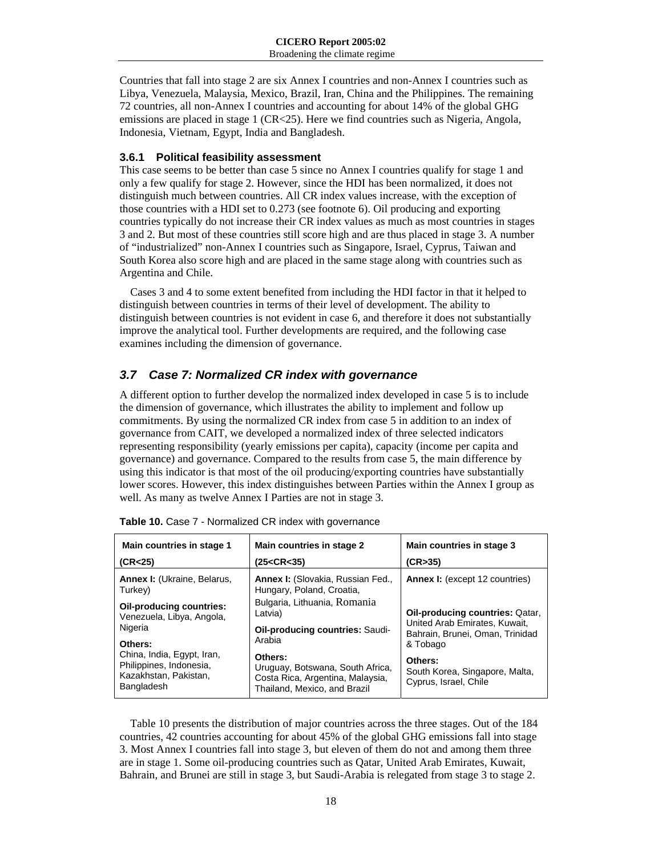Countries that fall into stage 2 are six Annex I countries and non-Annex I countries such as Libya, Venezuela, Malaysia, Mexico, Brazil, Iran, China and the Philippines. The remaining 72 countries, all non-Annex I countries and accounting for about 14% of the global GHG emissions are placed in stage 1 (CR<25). Here we find countries such as Nigeria, Angola, Indonesia, Vietnam, Egypt, India and Bangladesh.

#### **3.6.1 Political feasibility assessment**

This case seems to be better than case 5 since no Annex I countries qualify for stage 1 and only a few qualify for stage 2. However, since the HDI has been normalized, it does not distinguish much between countries. All CR index values increase, with the exception of those countries with a HDI set to 0.273 (see footnote 6). Oil producing and exporting countries typically do not increase their CR index values as much as most countries in stages 3 and 2. But most of these countries still score high and are thus placed in stage 3. A number of "industrialized" non-Annex I countries such as Singapore, Israel, Cyprus, Taiwan and South Korea also score high and are placed in the same stage along with countries such as Argentina and Chile.

Cases 3 and 4 to some extent benefited from including the HDI factor in that it helped to distinguish between countries in terms of their level of development. The ability to distinguish between countries is not evident in case 6, and therefore it does not substantially improve the analytical tool. Further developments are required, and the following case examines including the dimension of governance.

## *3.7 Case 7: Normalized CR index with governance*

A different option to further develop the normalized index developed in case 5 is to include the dimension of governance, which illustrates the ability to implement and follow up commitments. By using the normalized CR index from case 5 in addition to an index of governance from CAIT, we developed a normalized index of three selected indicators representing responsibility (yearly emissions per capita), capacity (income per capita and governance) and governance. Compared to the results from case 5, the main difference by using this indicator is that most of the oil producing/exporting countries have substantially lower scores. However, this index distinguishes between Parties within the Annex I group as well. As many as twelve Annex I Parties are not in stage 3.

| Main countries in stage 1                                                                               | Main countries in stage 2                                                                                                 | Main countries in stage 3                                                      |  |  |
|---------------------------------------------------------------------------------------------------------|---------------------------------------------------------------------------------------------------------------------------|--------------------------------------------------------------------------------|--|--|
| (CR<25)                                                                                                 | (25 <cr<35)< td=""><td>(CR&gt;35)</td></cr<35)<>                                                                          | (CR>35)                                                                        |  |  |
| <b>Annex I: (Ukraine, Belarus,</b><br>Turkey)                                                           | <b>Annex I:</b> (Slovakia, Russian Fed.,<br>Hungary, Poland, Croatia,                                                     | <b>Annex I:</b> (except 12 countries)                                          |  |  |
| Oil-producing countries:                                                                                | Bulgaria, Lithuania, Romania                                                                                              | <b>Oil-producing countries: Qatar,</b>                                         |  |  |
| Venezuela, Libya, Angola,                                                                               | Latvia)                                                                                                                   | United Arab Emirates, Kuwait,                                                  |  |  |
| Nigeria                                                                                                 | <b>Oil-producing countries: Saudi-</b>                                                                                    | Bahrain, Brunei, Oman, Trinidad                                                |  |  |
| Others:<br>China, India, Egypt, Iran,<br>Philippines, Indonesia,<br>Kazakhstan, Pakistan,<br>Bangladesh | Arabia<br>Others:<br>Uruguay, Botswana, South Africa,<br>Costa Rica, Argentina, Malaysia,<br>Thailand, Mexico, and Brazil | & Tobago<br>Others:<br>South Korea, Singapore, Malta,<br>Cyprus, Israel, Chile |  |  |

|  | Table 10. Case 7 - Normalized CR index with governance |  |  |  |
|--|--------------------------------------------------------|--|--|--|
|--|--------------------------------------------------------|--|--|--|

Table 10 presents the distribution of major countries across the three stages. Out of the 184 countries, 42 countries accounting for about 45% of the global GHG emissions fall into stage 3. Most Annex I countries fall into stage 3, but eleven of them do not and among them three are in stage 1. Some oil-producing countries such as Qatar, United Arab Emirates, Kuwait, Bahrain, and Brunei are still in stage 3, but Saudi-Arabia is relegated from stage 3 to stage 2.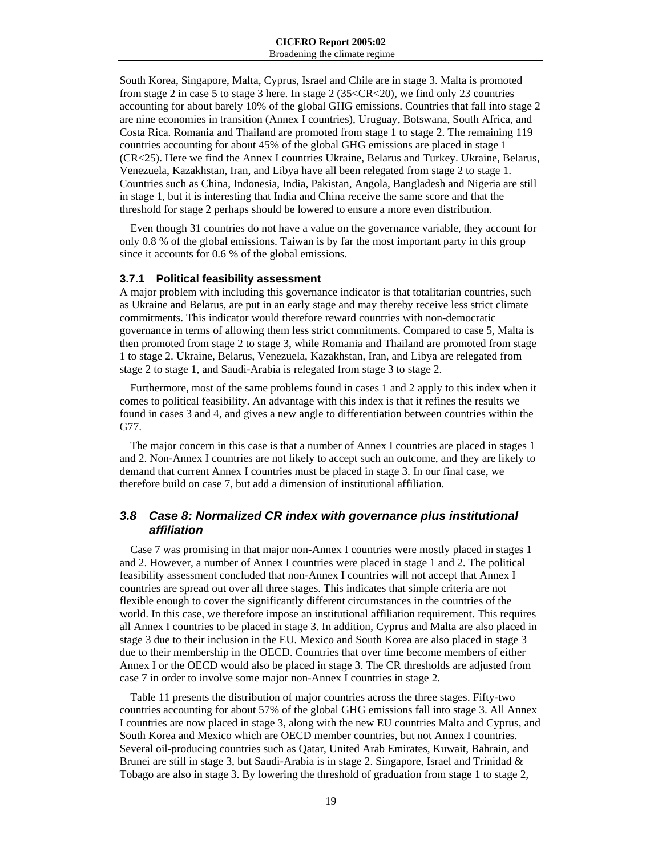South Korea, Singapore, Malta, Cyprus, Israel and Chile are in stage 3. Malta is promoted from stage 2 in case 5 to stage 3 here. In stage 2 (35<CR<20), we find only 23 countries accounting for about barely 10% of the global GHG emissions. Countries that fall into stage 2 are nine economies in transition (Annex I countries), Uruguay, Botswana, South Africa, and Costa Rica. Romania and Thailand are promoted from stage 1 to stage 2. The remaining 119 countries accounting for about 45% of the global GHG emissions are placed in stage 1 (CR<25). Here we find the Annex I countries Ukraine, Belarus and Turkey. Ukraine, Belarus, Venezuela, Kazakhstan, Iran, and Libya have all been relegated from stage 2 to stage 1. Countries such as China, Indonesia, India, Pakistan, Angola, Bangladesh and Nigeria are still in stage 1, but it is interesting that India and China receive the same score and that the threshold for stage 2 perhaps should be lowered to ensure a more even distribution.

Even though 31 countries do not have a value on the governance variable, they account for only 0.8 % of the global emissions. Taiwan is by far the most important party in this group since it accounts for 0.6 % of the global emissions.

#### **3.7.1 Political feasibility assessment**

A major problem with including this governance indicator is that totalitarian countries, such as Ukraine and Belarus, are put in an early stage and may thereby receive less strict climate commitments. This indicator would therefore reward countries with non-democratic governance in terms of allowing them less strict commitments. Compared to case 5, Malta is then promoted from stage 2 to stage 3, while Romania and Thailand are promoted from stage 1 to stage 2. Ukraine, Belarus, Venezuela, Kazakhstan, Iran, and Libya are relegated from stage 2 to stage 1, and Saudi-Arabia is relegated from stage 3 to stage 2.

Furthermore, most of the same problems found in cases 1 and 2 apply to this index when it comes to political feasibility. An advantage with this index is that it refines the results we found in cases 3 and 4, and gives a new angle to differentiation between countries within the G77.

The major concern in this case is that a number of Annex I countries are placed in stages 1 and 2. Non-Annex I countries are not likely to accept such an outcome, and they are likely to demand that current Annex I countries must be placed in stage 3. In our final case, we therefore build on case 7, but add a dimension of institutional affiliation.

## *3.8 Case 8: Normalized CR index with governance plus institutional affiliation*

Case 7 was promising in that major non-Annex I countries were mostly placed in stages 1 and 2. However, a number of Annex I countries were placed in stage 1 and 2. The political feasibility assessment concluded that non-Annex I countries will not accept that Annex I countries are spread out over all three stages. This indicates that simple criteria are not flexible enough to cover the significantly different circumstances in the countries of the world. In this case, we therefore impose an institutional affiliation requirement. This requires all Annex I countries to be placed in stage 3. In addition, Cyprus and Malta are also placed in stage 3 due to their inclusion in the EU. Mexico and South Korea are also placed in stage 3 due to their membership in the OECD. Countries that over time become members of either Annex I or the OECD would also be placed in stage 3. The CR thresholds are adjusted from case 7 in order to involve some major non-Annex I countries in stage 2.

Table 11 presents the distribution of major countries across the three stages. Fifty-two countries accounting for about 57% of the global GHG emissions fall into stage 3. All Annex I countries are now placed in stage 3, along with the new EU countries Malta and Cyprus, and South Korea and Mexico which are OECD member countries, but not Annex I countries. Several oil-producing countries such as Qatar, United Arab Emirates, Kuwait, Bahrain, and Brunei are still in stage 3, but Saudi-Arabia is in stage 2. Singapore, Israel and Trinidad  $\&$ Tobago are also in stage 3. By lowering the threshold of graduation from stage 1 to stage 2,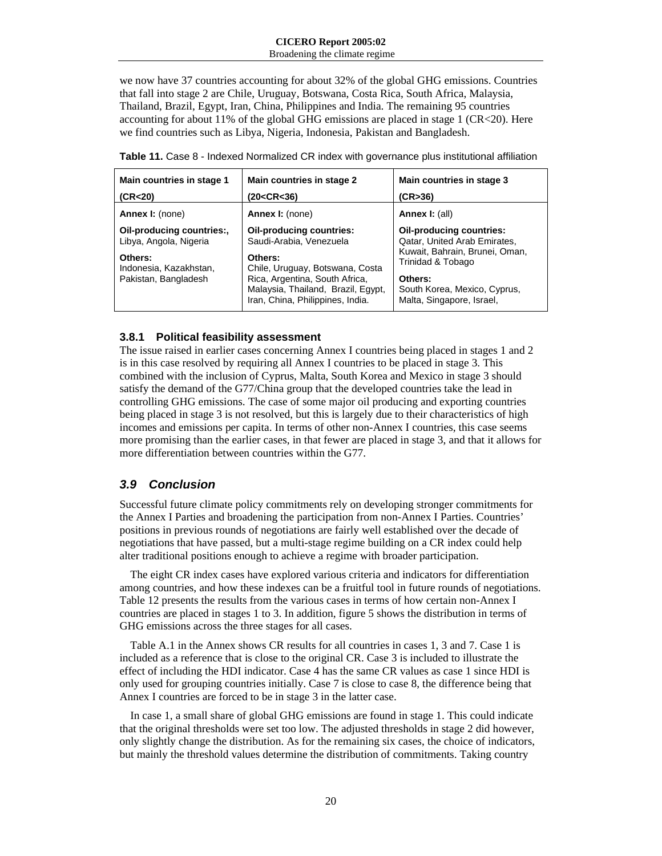we now have 37 countries accounting for about 32% of the global GHG emissions. Countries that fall into stage 2 are Chile, Uruguay, Botswana, Costa Rica, South Africa, Malaysia, Thailand, Brazil, Egypt, Iran, China, Philippines and India. The remaining 95 countries accounting for about 11% of the global GHG emissions are placed in stage 1 (CR<20). Here we find countries such as Libya, Nigeria, Indonesia, Pakistan and Bangladesh.

| Main countries in stage 1                                                                                        | Main countries in stage 2                                                                                                                                                                                            | Main countries in stage 3                                                                                                                                                               |
|------------------------------------------------------------------------------------------------------------------|----------------------------------------------------------------------------------------------------------------------------------------------------------------------------------------------------------------------|-----------------------------------------------------------------------------------------------------------------------------------------------------------------------------------------|
| (CR <sub>20</sub> )                                                                                              | (20 <cr<36)< th=""><th>(CR&gt;36)</th></cr<36)<>                                                                                                                                                                     | (CR>36)                                                                                                                                                                                 |
| <b>Annex I:</b> (none)                                                                                           | <b>Annex I:</b> (none)                                                                                                                                                                                               | <b>Annex I: (all)</b>                                                                                                                                                                   |
| Oil-producing countries:,<br>Libya, Angola, Nigeria<br>Others:<br>Indonesia, Kazakhstan,<br>Pakistan, Bangladesh | <b>Oil-producing countries:</b><br>Saudi-Arabia, Venezuela<br>Others:<br>Chile, Uruguay, Botswana, Costa<br>Rica, Argentina, South Africa,<br>Malaysia, Thailand, Brazil, Egypt,<br>Iran, China, Philippines, India. | Oil-producing countries:<br>Qatar, United Arab Emirates,<br>Kuwait, Bahrain, Brunei, Oman,<br>Trinidad & Tobago<br>Others:<br>South Korea, Mexico, Cyprus,<br>Malta, Singapore, Israel, |

|  | <b>Table 11.</b> Case 8 - Indexed Normalized CR index with governance plus institutional affiliation |  |  |  |
|--|------------------------------------------------------------------------------------------------------|--|--|--|
|  |                                                                                                      |  |  |  |

#### **3.8.1 Political feasibility assessment**

The issue raised in earlier cases concerning Annex I countries being placed in stages 1 and 2 is in this case resolved by requiring all Annex I countries to be placed in stage 3. This combined with the inclusion of Cyprus, Malta, South Korea and Mexico in stage 3 should satisfy the demand of the G77/China group that the developed countries take the lead in controlling GHG emissions. The case of some major oil producing and exporting countries being placed in stage 3 is not resolved, but this is largely due to their characteristics of high incomes and emissions per capita. In terms of other non-Annex I countries, this case seems more promising than the earlier cases, in that fewer are placed in stage 3, and that it allows for more differentiation between countries within the G77.

## *3.9 Conclusion*

Successful future climate policy commitments rely on developing stronger commitments for the Annex I Parties and broadening the participation from non-Annex I Parties. Countries' positions in previous rounds of negotiations are fairly well established over the decade of negotiations that have passed, but a multi-stage regime building on a CR index could help alter traditional positions enough to achieve a regime with broader participation.

The eight CR index cases have explored various criteria and indicators for differentiation among countries, and how these indexes can be a fruitful tool in future rounds of negotiations. Table 12 presents the results from the various cases in terms of how certain non-Annex I countries are placed in stages 1 to 3. In addition, figure 5 shows the distribution in terms of GHG emissions across the three stages for all cases.

Table A.1 in the Annex shows CR results for all countries in cases 1, 3 and 7. Case 1 is included as a reference that is close to the original CR. Case 3 is included to illustrate the effect of including the HDI indicator. Case 4 has the same CR values as case 1 since HDI is only used for grouping countries initially. Case 7 is close to case 8, the difference being that Annex I countries are forced to be in stage 3 in the latter case.

In case 1, a small share of global GHG emissions are found in stage 1. This could indicate that the original thresholds were set too low. The adjusted thresholds in stage 2 did however, only slightly change the distribution. As for the remaining six cases, the choice of indicators, but mainly the threshold values determine the distribution of commitments. Taking country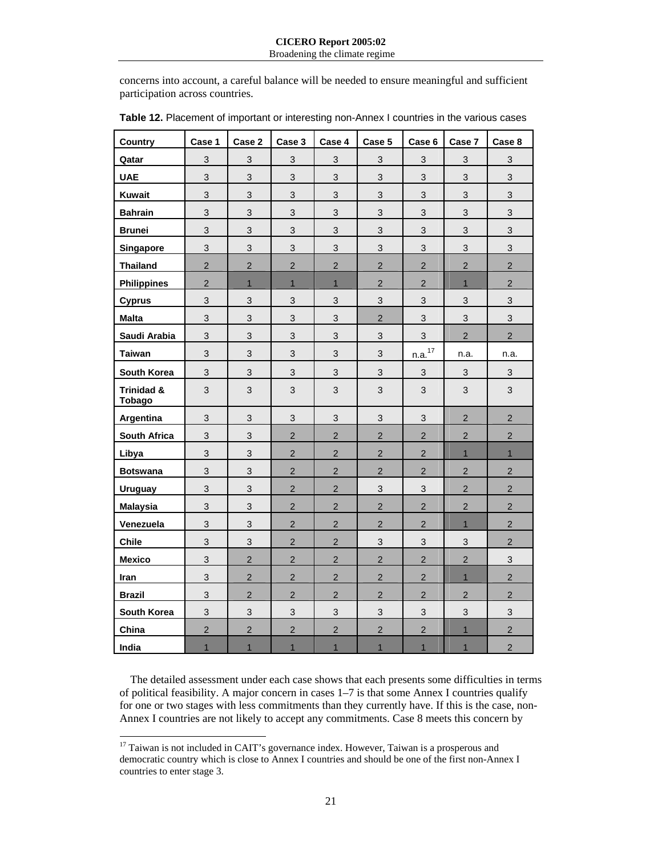concerns into account, a careful balance will be needed to ensure meaningful and sufficient participation across countries.

| <b>Country</b>              | Case 1                    | Case 2                    | Case 3         | Case 4         | Case 5         | Case 6             | Case 7         | Case <sub>8</sub> |
|-----------------------------|---------------------------|---------------------------|----------------|----------------|----------------|--------------------|----------------|-------------------|
| Qatar                       | $\mathbf{3}$              | $\mathfrak{S}$            | 3              | $\mathbf{3}$   | 3              | $\mathbf{3}$       | $\mathbf{3}$   | $\mathfrak{S}$    |
| <b>UAE</b>                  | 3                         | 3                         | 3              | 3              | 3              | 3                  | 3              | 3                 |
| <b>Kuwait</b>               | 3                         | 3                         | 3              | 3              | 3              | 3                  | 3              | 3                 |
| <b>Bahrain</b>              | 3                         | $\mathfrak{S}$            | 3              | 3              | 3              | 3                  | 3              | 3                 |
| <b>Brunei</b>               | 3                         | 3                         | 3              | 3              | 3              | 3                  | 3              | 3                 |
| Singapore                   | 3                         | 3                         | 3              | 3              | 3              | 3                  | 3              | 3                 |
| <b>Thailand</b>             | $\overline{2}$            | $\overline{2}$            | $\overline{2}$ | $\overline{2}$ | $\overline{2}$ | $\overline{2}$     | $\overline{2}$ | $\overline{2}$    |
| <b>Philippines</b>          | $\overline{2}$            | $\mathbf{1}$              | $\overline{1}$ | $\mathbf{1}$   | $\overline{2}$ | $\overline{2}$     | $\mathbf{1}$   | $\overline{2}$    |
| <b>Cyprus</b>               | 3                         | 3                         | 3              | 3              | 3              | $\mathbf{3}$       | 3              | $\mathsf 3$       |
| <b>Malta</b>                | 3                         | 3                         | 3              | 3              | $\overline{2}$ | 3                  | 3              | 3                 |
| Saudi Arabia                | $\mathbf{3}$              | $\sqrt{3}$                | $\mathfrak{S}$ | 3              | 3              | 3                  | $\overline{2}$ | $\overline{2}$    |
| <b>Taiwan</b>               | 3                         | $\mathfrak{S}$            | 3              | 3              | 3              | n.a. <sup>17</sup> | n.a.           | n.a.              |
| South Korea                 | $\mathbf{3}$              | $\mathsf 3$               | $\mathfrak{S}$ | $\sqrt{3}$     | $\mathfrak{S}$ | $\mathbf{3}$       | $\sqrt{3}$     | $\mathfrak{S}$    |
| Trinidad &<br><b>Tobago</b> | $\mathbf{3}$              | $\ensuremath{\mathsf{3}}$ | $\mathfrak{S}$ | 3              | 3              | $\mathfrak{S}$     | 3              | $\mathfrak{S}$    |
| <b>Argentina</b>            | 3                         | $\sqrt{3}$                | $\mathfrak{S}$ | 3              | 3              | $\sqrt{3}$         | $\overline{2}$ | $\mathbf 2$       |
| <b>South Africa</b>         | $\mathbf{3}$              | $\mathsf 3$               | $\overline{2}$ | $\overline{2}$ | $\overline{2}$ | $\overline{2}$     | $\overline{2}$ | $\overline{c}$    |
| Libya                       | $\mathbf{3}$              | $\mathsf 3$               | $\overline{c}$ | $\overline{c}$ | $\overline{c}$ | $\overline{2}$     | $\mathbf{1}$   | $\mathbf{1}$      |
| <b>Botswana</b>             | 3                         | $\mathfrak{S}$            | $\overline{2}$ | $\overline{2}$ | $\overline{a}$ | $\overline{2}$     | $\overline{2}$ | $\overline{c}$    |
| <b>Uruguay</b>              | $\mathfrak{S}$            | $\mathsf 3$               | $\overline{2}$ | $\overline{2}$ | 3              | 3                  | $\overline{2}$ | $\overline{c}$    |
| <b>Malaysia</b>             | $\mathbf{3}$              | $\sqrt{3}$                | $\overline{2}$ | $\overline{2}$ | $\overline{2}$ | $\overline{2}$     | $\overline{2}$ | $\overline{2}$    |
| Venezuela                   | 3                         | $\mathfrak{S}$            | $\overline{2}$ | $\overline{2}$ | $\overline{2}$ | $\overline{2}$     | $\mathbf{1}$   | $\overline{c}$    |
| <b>Chile</b>                | 3                         | $\mathfrak{S}$            | $\overline{2}$ | $\overline{2}$ | 3              | $\mathbf{3}$       | 3              | $\overline{2}$    |
| <b>Mexico</b>               | 3                         | $\overline{2}$            | $\overline{2}$ | $\overline{2}$ | $\overline{2}$ | $\overline{2}$     | $\overline{2}$ | 3                 |
| Iran                        | 3                         | $\overline{2}$            | $\overline{2}$ | $\overline{2}$ | $\overline{2}$ | $\overline{2}$     | $\mathbf{1}$   | $\overline{2}$    |
| <b>Brazil</b>               | $\ensuremath{\mathsf{3}}$ | $\sqrt{2}$                | $\overline{2}$ | $\overline{2}$ | $\overline{2}$ | $\overline{2}$     | $\overline{2}$ | $\overline{c}$    |
| South Korea                 | 3                         | $\mathfrak{S}$            | $\mathfrak{S}$ | 3              | 3              | $\mathfrak{S}$     | 3              | $\mathfrak{S}$    |
| China                       | $\overline{c}$            | $\sqrt{2}$                | $\overline{2}$ | $\overline{2}$ | $\overline{c}$ | $\overline{c}$     | $\mathbf{1}$   | $\overline{c}$    |
| India                       | $\overline{1}$            | $\mathbf{1}$              | $\overline{1}$ | $\overline{1}$ | $\overline{1}$ | $\mathbf{1}$       | $\mathbf{1}$   | $\overline{c}$    |

| Table 12. Placement of important or interesting non-Annex I countries in the various cases |  |
|--------------------------------------------------------------------------------------------|--|
|--------------------------------------------------------------------------------------------|--|

The detailed assessment under each case shows that each presents some difficulties in terms of political feasibility. A major concern in cases 1–7 is that some Annex I countries qualify for one or two stages with less commitments than they currently have. If this is the case, non-Annex I countries are not likely to accept any commitments. Case 8 meets this concern by

 $\overline{a}$ 

<sup>&</sup>lt;sup>17</sup> Taiwan is not included in CAIT's governance index. However, Taiwan is a prosperous and democratic country which is close to Annex I countries and should be one of the first non-Annex I countries to enter stage 3.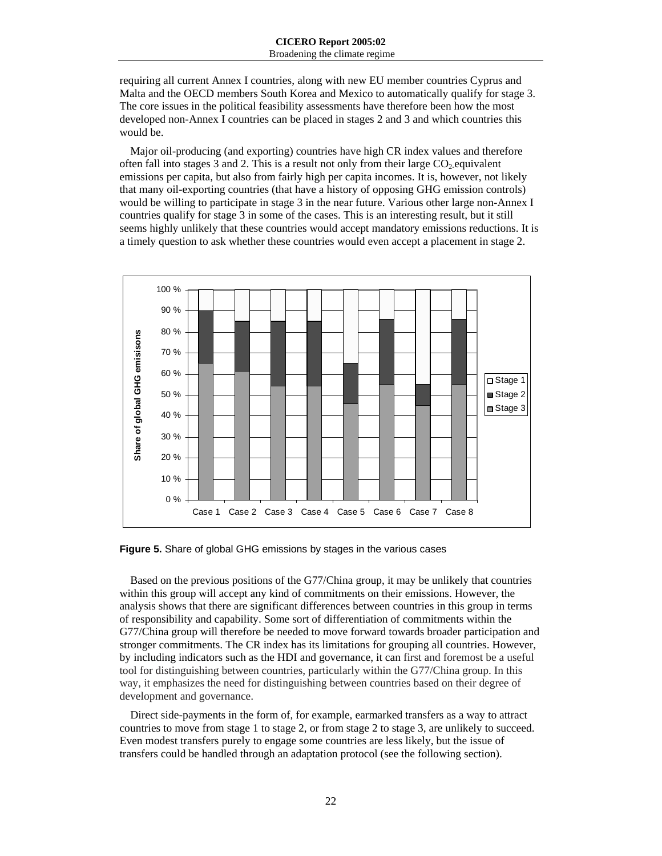requiring all current Annex I countries, along with new EU member countries Cyprus and Malta and the OECD members South Korea and Mexico to automatically qualify for stage 3. The core issues in the political feasibility assessments have therefore been how the most developed non-Annex I countries can be placed in stages 2 and 3 and which countries this would be.

Major oil-producing (and exporting) countries have high CR index values and therefore often fall into stages 3 and 2. This is a result not only from their large  $CO<sub>2</sub>$ -equivalent emissions per capita, but also from fairly high per capita incomes. It is, however, not likely that many oil-exporting countries (that have a history of opposing GHG emission controls) would be willing to participate in stage 3 in the near future. Various other large non-Annex I countries qualify for stage 3 in some of the cases. This is an interesting result, but it still seems highly unlikely that these countries would accept mandatory emissions reductions. It is a timely question to ask whether these countries would even accept a placement in stage 2.



**Figure 5.** Share of global GHG emissions by stages in the various cases

Based on the previous positions of the G77/China group, it may be unlikely that countries within this group will accept any kind of commitments on their emissions. However, the analysis shows that there are significant differences between countries in this group in terms of responsibility and capability. Some sort of differentiation of commitments within the G77/China group will therefore be needed to move forward towards broader participation and stronger commitments. The CR index has its limitations for grouping all countries. However, by including indicators such as the HDI and governance, it can first and foremost be a useful tool for distinguishing between countries, particularly within the G77/China group. In this way, it emphasizes the need for distinguishing between countries based on their degree of development and governance.

Direct side-payments in the form of, for example, earmarked transfers as a way to attract countries to move from stage 1 to stage 2, or from stage 2 to stage 3, are unlikely to succeed. Even modest transfers purely to engage some countries are less likely, but the issue of transfers could be handled through an adaptation protocol (see the following section).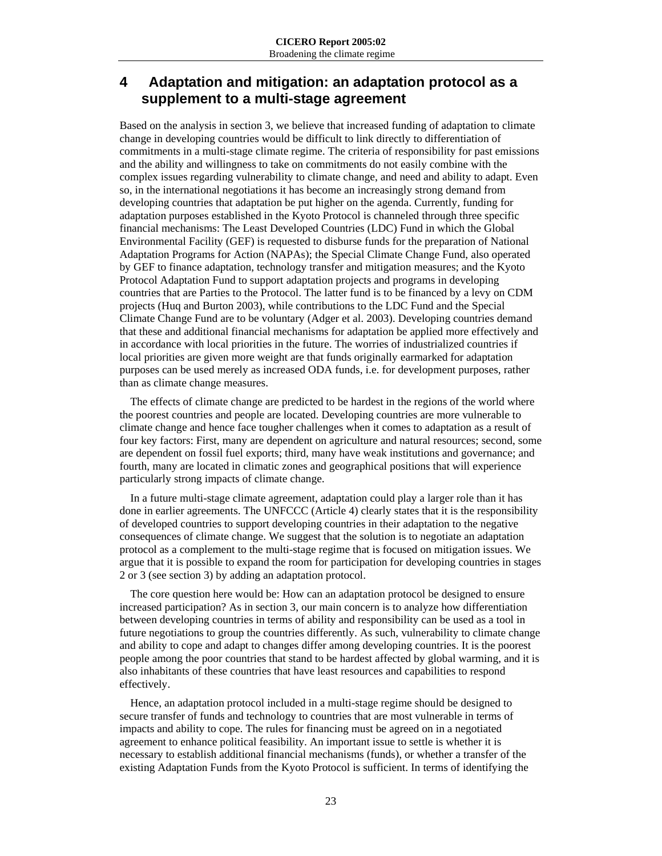# **4 Adaptation and mitigation: an adaptation protocol as a supplement to a multi-stage agreement**

Based on the analysis in section 3, we believe that increased funding of adaptation to climate change in developing countries would be difficult to link directly to differentiation of commitments in a multi-stage climate regime. The criteria of responsibility for past emissions and the ability and willingness to take on commitments do not easily combine with the complex issues regarding vulnerability to climate change, and need and ability to adapt. Even so, in the international negotiations it has become an increasingly strong demand from developing countries that adaptation be put higher on the agenda. Currently, funding for adaptation purposes established in the Kyoto Protocol is channeled through three specific financial mechanisms: The Least Developed Countries (LDC) Fund in which the Global Environmental Facility (GEF) is requested to disburse funds for the preparation of National Adaptation Programs for Action (NAPAs); the Special Climate Change Fund, also operated by GEF to finance adaptation, technology transfer and mitigation measures; and the Kyoto Protocol Adaptation Fund to support adaptation projects and programs in developing countries that are Parties to the Protocol. The latter fund is to be financed by a levy on CDM projects (Huq and Burton 2003), while contributions to the LDC Fund and the Special Climate Change Fund are to be voluntary (Adger et al. 2003). Developing countries demand that these and additional financial mechanisms for adaptation be applied more effectively and in accordance with local priorities in the future. The worries of industrialized countries if local priorities are given more weight are that funds originally earmarked for adaptation purposes can be used merely as increased ODA funds, i.e. for development purposes, rather than as climate change measures.

The effects of climate change are predicted to be hardest in the regions of the world where the poorest countries and people are located. Developing countries are more vulnerable to climate change and hence face tougher challenges when it comes to adaptation as a result of four key factors: First, many are dependent on agriculture and natural resources; second, some are dependent on fossil fuel exports; third, many have weak institutions and governance; and fourth, many are located in climatic zones and geographical positions that will experience particularly strong impacts of climate change.

In a future multi-stage climate agreement, adaptation could play a larger role than it has done in earlier agreements. The UNFCCC (Article 4) clearly states that it is the responsibility of developed countries to support developing countries in their adaptation to the negative consequences of climate change. We suggest that the solution is to negotiate an adaptation protocol as a complement to the multi-stage regime that is focused on mitigation issues. We argue that it is possible to expand the room for participation for developing countries in stages 2 or 3 (see section 3) by adding an adaptation protocol.

The core question here would be: How can an adaptation protocol be designed to ensure increased participation? As in section 3, our main concern is to analyze how differentiation between developing countries in terms of ability and responsibility can be used as a tool in future negotiations to group the countries differently. As such, vulnerability to climate change and ability to cope and adapt to changes differ among developing countries. It is the poorest people among the poor countries that stand to be hardest affected by global warming, and it is also inhabitants of these countries that have least resources and capabilities to respond effectively.

Hence, an adaptation protocol included in a multi-stage regime should be designed to secure transfer of funds and technology to countries that are most vulnerable in terms of impacts and ability to cope. The rules for financing must be agreed on in a negotiated agreement to enhance political feasibility. An important issue to settle is whether it is necessary to establish additional financial mechanisms (funds), or whether a transfer of the existing Adaptation Funds from the Kyoto Protocol is sufficient. In terms of identifying the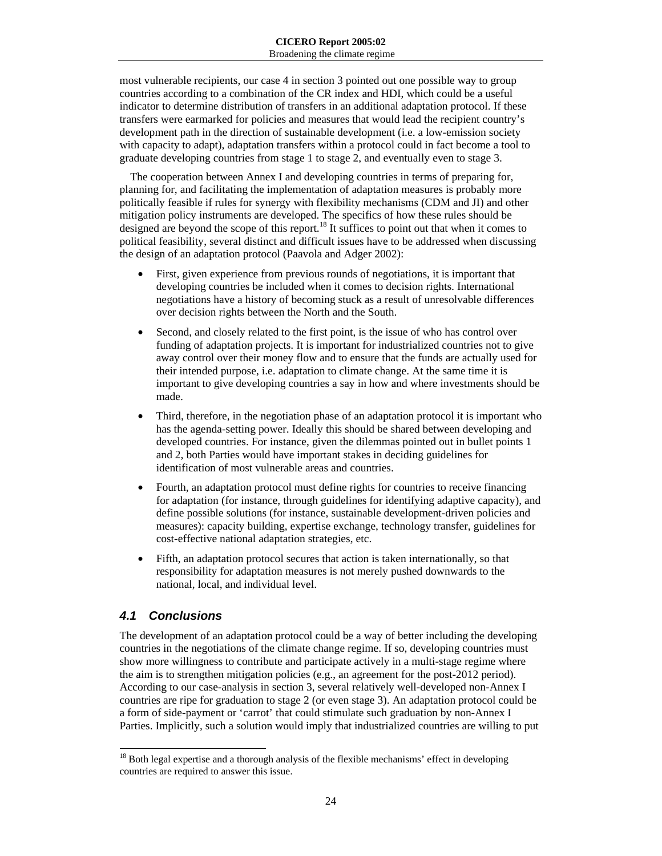most vulnerable recipients, our case 4 in section 3 pointed out one possible way to group countries according to a combination of the CR index and HDI, which could be a useful indicator to determine distribution of transfers in an additional adaptation protocol. If these transfers were earmarked for policies and measures that would lead the recipient country's development path in the direction of sustainable development (i.e. a low-emission society with capacity to adapt), adaptation transfers within a protocol could in fact become a tool to graduate developing countries from stage 1 to stage 2, and eventually even to stage 3.

The cooperation between Annex I and developing countries in terms of preparing for, planning for, and facilitating the implementation of adaptation measures is probably more politically feasible if rules for synergy with flexibility mechanisms (CDM and JI) and other mitigation policy instruments are developed. The specifics of how these rules should be designed are beyond the scope of this report.<sup>18</sup> It suffices to point out that when it comes to political feasibility, several distinct and difficult issues have to be addressed when discussing the design of an adaptation protocol (Paavola and Adger 2002):

- First, given experience from previous rounds of negotiations, it is important that developing countries be included when it comes to decision rights. International negotiations have a history of becoming stuck as a result of unresolvable differences over decision rights between the North and the South.
- Second, and closely related to the first point, is the issue of who has control over funding of adaptation projects. It is important for industrialized countries not to give away control over their money flow and to ensure that the funds are actually used for their intended purpose, i.e. adaptation to climate change. At the same time it is important to give developing countries a say in how and where investments should be made.
- Third, therefore, in the negotiation phase of an adaptation protocol it is important who has the agenda-setting power. Ideally this should be shared between developing and developed countries. For instance, given the dilemmas pointed out in bullet points 1 and 2, both Parties would have important stakes in deciding guidelines for identification of most vulnerable areas and countries.
- Fourth, an adaptation protocol must define rights for countries to receive financing for adaptation (for instance, through guidelines for identifying adaptive capacity), and define possible solutions (for instance, sustainable development-driven policies and measures): capacity building, expertise exchange, technology transfer, guidelines for cost-effective national adaptation strategies, etc.
- Fifth, an adaptation protocol secures that action is taken internationally, so that responsibility for adaptation measures is not merely pushed downwards to the national, local, and individual level.

## *4.1 Conclusions*

 $\overline{a}$ 

The development of an adaptation protocol could be a way of better including the developing countries in the negotiations of the climate change regime. If so, developing countries must show more willingness to contribute and participate actively in a multi-stage regime where the aim is to strengthen mitigation policies (e.g., an agreement for the post-2012 period). According to our case-analysis in section 3, several relatively well-developed non-Annex I countries are ripe for graduation to stage 2 (or even stage 3). An adaptation protocol could be a form of side-payment or 'carrot' that could stimulate such graduation by non-Annex I Parties. Implicitly, such a solution would imply that industrialized countries are willing to put

 $18$  Both legal expertise and a thorough analysis of the flexible mechanisms' effect in developing countries are required to answer this issue.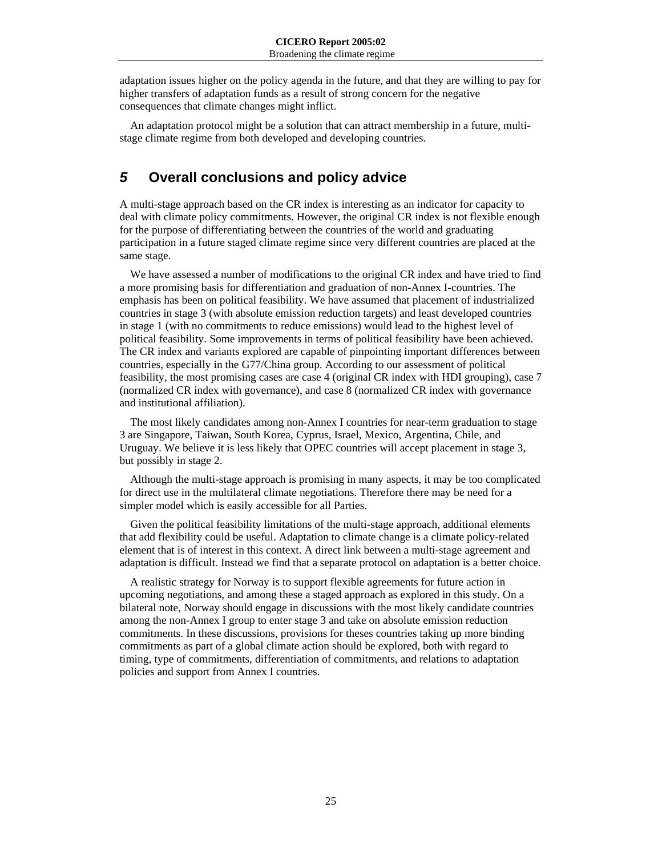adaptation issues higher on the policy agenda in the future, and that they are willing to pay for higher transfers of adaptation funds as a result of strong concern for the negative consequences that climate changes might inflict.

An adaptation protocol might be a solution that can attract membership in a future, multistage climate regime from both developed and developing countries.

# *5* **Overall conclusions and policy advice**

A multi-stage approach based on the CR index is interesting as an indicator for capacity to deal with climate policy commitments. However, the original CR index is not flexible enough for the purpose of differentiating between the countries of the world and graduating participation in a future staged climate regime since very different countries are placed at the same stage.

We have assessed a number of modifications to the original CR index and have tried to find a more promising basis for differentiation and graduation of non-Annex I-countries. The emphasis has been on political feasibility. We have assumed that placement of industrialized countries in stage 3 (with absolute emission reduction targets) and least developed countries in stage 1 (with no commitments to reduce emissions) would lead to the highest level of political feasibility. Some improvements in terms of political feasibility have been achieved. The CR index and variants explored are capable of pinpointing important differences between countries, especially in the G77/China group. According to our assessment of political feasibility, the most promising cases are case 4 (original CR index with HDI grouping), case 7 (normalized CR index with governance), and case 8 (normalized CR index with governance and institutional affiliation).

The most likely candidates among non-Annex I countries for near-term graduation to stage 3 are Singapore, Taiwan, South Korea, Cyprus, Israel, Mexico, Argentina, Chile, and Uruguay. We believe it is less likely that OPEC countries will accept placement in stage 3, but possibly in stage 2.

Although the multi-stage approach is promising in many aspects, it may be too complicated for direct use in the multilateral climate negotiations. Therefore there may be need for a simpler model which is easily accessible for all Parties.

Given the political feasibility limitations of the multi-stage approach, additional elements that add flexibility could be useful. Adaptation to climate change is a climate policy-related element that is of interest in this context. A direct link between a multi-stage agreement and adaptation is difficult. Instead we find that a separate protocol on adaptation is a better choice.

A realistic strategy for Norway is to support flexible agreements for future action in upcoming negotiations, and among these a staged approach as explored in this study. On a bilateral note, Norway should engage in discussions with the most likely candidate countries among the non-Annex I group to enter stage 3 and take on absolute emission reduction commitments. In these discussions, provisions for theses countries taking up more binding commitments as part of a global climate action should be explored, both with regard to timing, type of commitments, differentiation of commitments, and relations to adaptation policies and support from Annex I countries.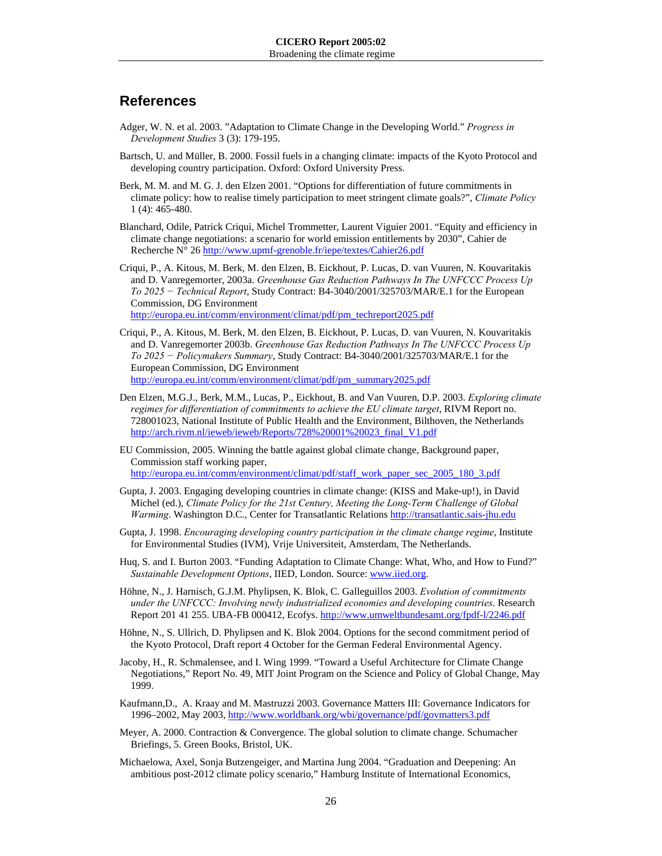## **References**

- Adger, W. N. et al. 2003. "Adaptation to Climate Change in the Developing World." *Progress in Development Studies* 3 (3): 179-195.
- Bartsch, U. and Müller, B. 2000. Fossil fuels in a changing climate: impacts of the Kyoto Protocol and developing country participation. Oxford: Oxford University Press.
- Berk, M. M. and M. G. J. den Elzen 2001. "Options for differentiation of future commitments in climate policy: how to realise timely participation to meet stringent climate goals?", *Climate Policy* 1 (4): 465-480.
- Blanchard, Odile, Patrick Criqui, Michel Trommetter, Laurent Viguier 2001. "Equity and efficiency in climate change negotiations: a scenario for world emission entitlements by 2030", Cahier de Recherche N° 26 http://www.upmf-grenoble.fr/iepe/textes/Cahier26.pdf
- Criqui, P., A. Kitous, M. Berk, M. den Elzen, B. Eickhout, P. Lucas, D. van Vuuren, N. Kouvaritakis and D. Vanregemorter, 2003a. *Greenhouse Gas Reduction Pathways In The UNFCCC Process Up To 2025 − Technical Report*, Study Contract: B4-3040/2001/325703/MAR/E.1 for the European Commission, DG Environment

http://europa.eu.int/comm/environment/climat/pdf/pm\_techreport2025.pdf

- Criqui, P., A. Kitous, M. Berk, M. den Elzen, B. Eickhout, P. Lucas, D. van Vuuren, N. Kouvaritakis and D. Vanregemorter 2003b. *Greenhouse Gas Reduction Pathways In The UNFCCC Process Up To 2025 − Policymakers Summary*, Study Contract: B4-3040/2001/325703/MAR/E.1 for the European Commission, DG Environment http://europa.eu.int/comm/environment/climat/pdf/pm\_summary2025.pdf
- Den Elzen, M.G.J., Berk, M.M., Lucas, P., Eickhout, B. and Van Vuuren, D.P. 2003. *Exploring climate regimes for differentiation of commitments to achieve the EU climate target*, RIVM Report no. 728001023, National Institute of Public Health and the Environment, Bilthoven, the Netherlands http://arch.rivm.nl/ieweb/ieweb/Reports/728%20001%20023\_final\_V1.pdf
- EU Commission, 2005. Winning the battle against global climate change, Background paper, Commission staff working paper, http://europa.eu.int/comm/environment/climat/pdf/staff\_work\_paper\_sec\_2005\_180\_3.pdf
- Gupta, J. 2003. Engaging developing countries in climate change: (KISS and Make-up!), in David Michel (ed.), *Climate Policy for the 21st Century, Meeting the Long-Term Challenge of Global Warming*. Washington D.C., Center for Transatlantic Relations http://transatlantic.sais-jhu.edu
- Gupta, J. 1998. *Encouraging developing country participation in the climate change regime*, Institute for Environmental Studies (IVM), Vrije Universiteit, Amsterdam, The Netherlands.
- Huq, S. and I. Burton 2003. "Funding Adaptation to Climate Change: What, Who, and How to Fund?" *Sustainable Development Options*, IIED, London. Source: www.iied.org.
- Höhne, N., J. Harnisch, G.J.M. Phylipsen, K. Blok, C. Galleguillos 2003. *Evolution of commitments under the UNFCCC: Involving newly industrialized economies and developing countries*. Research Report 201 41 255. UBA-FB 000412, Ecofys. http://www.umweltbundesamt.org/fpdf-l/2246.pdf
- Höhne, N., S. Ullrich, D. Phylipsen and K. Blok 2004. Options for the second commitment period of the Kyoto Protocol, Draft report 4 October for the German Federal Environmental Agency.
- Jacoby, H., R. Schmalensee, and I. Wing 1999. "Toward a Useful Architecture for Climate Change Negotiations," Report No. 49, MIT Joint Program on the Science and Policy of Global Change, May 1999.
- Kaufmann,D., A. Kraay and M. Mastruzzi 2003. Governance Matters III: Governance Indicators for 1996–2002, May 2003, http://www.worldbank.org/wbi/governance/pdf/govmatters3.pdf
- Meyer, A. 2000. Contraction & Convergence. The global solution to climate change. Schumacher Briefings, 5. Green Books, Bristol, UK.
- Michaelowa, Axel, Sonja Butzengeiger, and Martina Jung 2004. "Graduation and Deepening: An ambitious post-2012 climate policy scenario," Hamburg Institute of International Economics,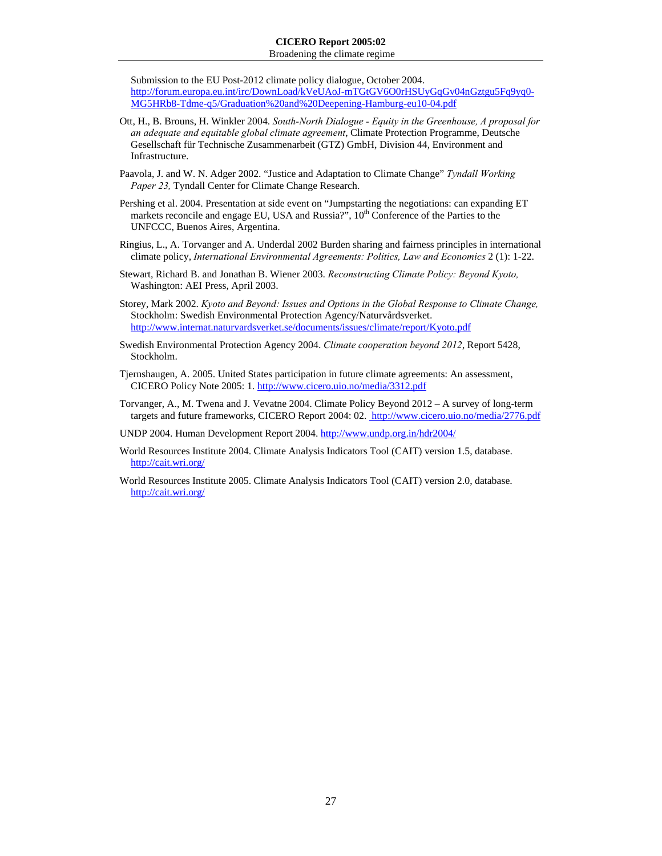Broadening the climate regime

Submission to the EU Post-2012 climate policy dialogue, October 2004. http://forum.europa.eu.int/irc/DownLoad/kVeUAoJ-mTGtGV6O0rHSUyGqGv04nGztgu5Fq9yq0- MG5HRb8-Tdme-q5/Graduation%20and%20Deepening-Hamburg-eu10-04.pdf

- Ott, H., B. Brouns, H. Winkler 2004. *South-North Dialogue Equity in the Greenhouse, A proposal for an adequate and equitable global climate agreement*, Climate Protection Programme, Deutsche Gesellschaft für Technische Zusammenarbeit (GTZ) GmbH, Division 44, Environment and Infrastructure.
- Paavola, J. and W. N. Adger 2002. "Justice and Adaptation to Climate Change" *Tyndall Working Paper 23,* Tyndall Center for Climate Change Research.
- Pershing et al. 2004. Presentation at side event on "Jumpstarting the negotiations: can expanding ET markets reconcile and engage EU, USA and Russia?",  $10<sup>th</sup>$  Conference of the Parties to the UNFCCC, Buenos Aires, Argentina.
- Ringius, L., A. Torvanger and A. Underdal 2002 Burden sharing and fairness principles in international climate policy, *International Environmental Agreements: Politics, Law and Economics* 2 (1): 1-22.
- Stewart, Richard B. and Jonathan B. Wiener 2003. *Reconstructing Climate Policy: Beyond Kyoto,*  Washington: AEI Press, April 2003.
- Storey, Mark 2002. *Kyoto and Beyond: Issues and Options in the Global Response to Climate Change,*  Stockholm: Swedish Environmental Protection Agency/Naturvårdsverket. http://www.internat.naturvardsverket.se/documents/issues/climate/report/Kyoto.pdf
- Swedish Environmental Protection Agency 2004. *Climate cooperation beyond 2012*, Report 5428, Stockholm.
- Tjernshaugen, A. 2005. United States participation in future climate agreements: An assessment, CICERO Policy Note 2005: 1. http://www.cicero.uio.no/media/3312.pdf
- Torvanger, A., M. Twena and J. Vevatne 2004. Climate Policy Beyond 2012 A survey of long-term targets and future frameworks, CICERO Report 2004: 02. http://www.cicero.uio.no/media/2776.pdf
- UNDP 2004. Human Development Report 2004. http://www.undp.org.in/hdr2004/
- World Resources Institute 2004. Climate Analysis Indicators Tool (CAIT) version 1.5, database. http://cait.wri.org/
- World Resources Institute 2005. Climate Analysis Indicators Tool (CAIT) version 2.0, database. http://cait.wri.org/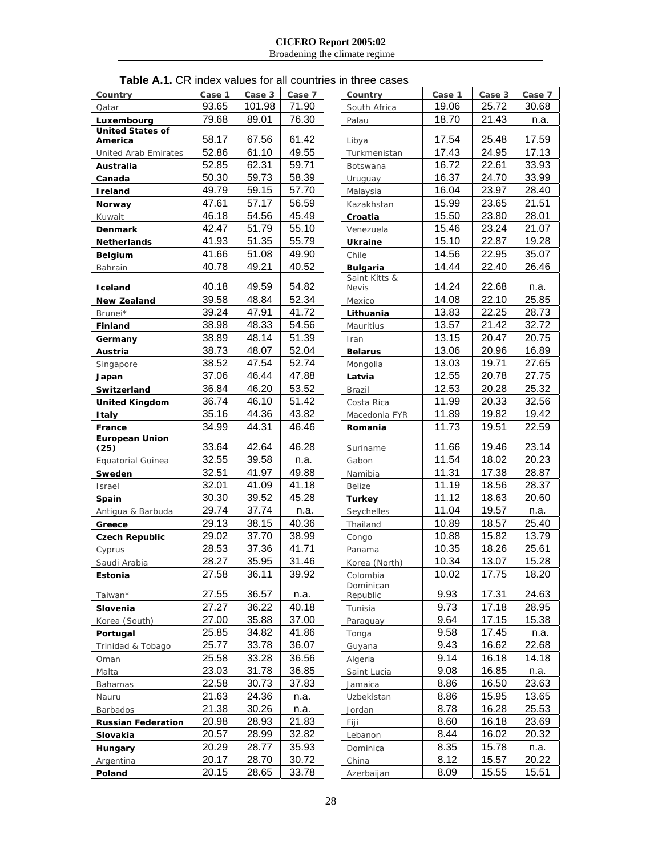Broadening the climate regime

## **Table A.1.** CR index values for all countries in three cases

| Country                            | Case 1 | Case 3 | Case 7 | Country                          | Case 1 | Case 3 | Case 7 |
|------------------------------------|--------|--------|--------|----------------------------------|--------|--------|--------|
| Qatar                              | 93.65  | 101.98 | 71.90  | South Africa                     | 19.06  | 25.72  | 30.68  |
| Luxembourg                         | 79.68  | 89.01  | 76.30  | Palau                            | 18.70  | 21.43  | n.a.   |
| <b>United States of</b><br>America | 58.17  | 67.56  | 61.42  | Libya                            | 17.54  | 25.48  | 17.59  |
| United Arab Emirates               | 52.86  | 61.10  | 49.55  | Turkmenistan                     | 17.43  | 24.95  | 17.13  |
| Australia                          | 52.85  | 62.31  | 59.71  | Botswana                         | 16.72  | 22.61  | 33.93  |
| Canada                             | 50.30  | 59.73  | 58.39  | Uruguay                          | 16.37  | 24.70  | 33.99  |
| <b>Ireland</b>                     | 49.79  | 59.15  | 57.70  | Malaysia                         | 16.04  | 23.97  | 28.40  |
| Norway                             | 47.61  | 57.17  | 56.59  | Kazakhstan                       | 15.99  | 23.65  | 21.51  |
| Kuwait                             | 46.18  | 54.56  | 45.49  | Croatia                          | 15.50  | 23.80  | 28.01  |
| Denmark                            | 42.47  | 51.79  | 55.10  | Venezuela                        | 15.46  | 23.24  | 21.07  |
| <b>Netherlands</b>                 | 41.93  | 51.35  | 55.79  | <b>Ukraine</b>                   | 15.10  | 22.87  | 19.28  |
| Belgium                            | 41.66  | 51.08  | 49.90  | Chile                            | 14.56  | 22.95  | 35.07  |
| Bahrain                            | 40.78  | 49.21  | 40.52  | <b>Bulgaria</b><br>Saint Kitts & | 14.44  | 22.40  | 26.46  |
| Iceland                            | 40.18  | 49.59  | 54.82  | <b>Nevis</b>                     | 14.24  | 22.68  | n.a.   |
| <b>New Zealand</b>                 | 39.58  | 48.84  | 52.34  | Mexico                           | 14.08  | 22.10  | 25.85  |
| Brunei*                            | 39.24  | 47.91  | 41.72  | Lithuania                        | 13.83  | 22.25  | 28.73  |
| <b>Finland</b>                     | 38.98  | 48.33  | 54.56  | Mauritius                        | 13.57  | 21.42  | 32.72  |
| Germany                            | 38.89  | 48.14  | 51.39  | Iran                             | 13.15  | 20.47  | 20.75  |
| Austria                            | 38.73  | 48.07  | 52.04  | <b>Belarus</b>                   | 13.06  | 20.96  | 16.89  |
| Singapore                          | 38.52  | 47.54  | 52.74  | Mongolia                         | 13.03  | 19.71  | 27.65  |
| Japan                              | 37.06  | 46.44  | 47.88  | Latvia                           | 12.55  | 20.78  | 27.75  |
| Switzerland                        | 36.84  | 46.20  | 53.52  | <b>Brazil</b>                    | 12.53  | 20.28  | 25.32  |
| <b>United Kingdom</b>              | 36.74  | 46.10  | 51.42  | Costa Rica                       | 11.99  | 20.33  | 32.56  |
| Italy                              | 35.16  | 44.36  | 43.82  | Macedonia FYR                    | 11.89  | 19.82  | 19.42  |
| France<br><b>European Union</b>    | 34.99  | 44.31  | 46.46  | Romania                          | 11.73  | 19.51  | 22.59  |
| (25)                               | 33.64  | 42.64  | 46.28  | Suriname                         | 11.66  | 19.46  | 23.14  |
| <b>Equatorial Guinea</b>           | 32.55  | 39.58  | n.a.   | Gabon                            | 11.54  | 18.02  | 20.23  |
| Sweden                             | 32.51  | 41.97  | 49.88  | Namibia                          | 11.31  | 17.38  | 28.87  |
| Israel                             | 32.01  | 41.09  | 41.18  | Belize                           | 11.19  | 18.56  | 28.37  |
| Spain                              | 30.30  | 39.52  | 45.28  | <b>Turkey</b>                    | 11.12  | 18.63  | 20.60  |
| Antigua & Barbuda                  | 29.74  | 37.74  | n.a.   | Seychelles                       | 11.04  | 19.57  | n.a.   |
| Greece                             | 29.13  | 38.15  | 40.36  | Thailand                         | 10.89  | 18.57  | 25.40  |
| <b>Czech Republic</b>              | 29.02  | 37.70  | 38.99  | Congo                            | 10.88  | 15.82  | 13.79  |
| Cyprus                             | 28.53  | 37.36  | 41.71  | Panama                           | 10.35  | 18.26  | 25.61  |
| Saudi Arabia                       | 28.27  | 35.95  | 31.46  | Korea (North)                    | 10.34  | 13.07  | 15.28  |
| Estonia                            | 27.58  | 36.11  | 39.92  | Colombia<br>Dominican            | 10.02  | 17.75  | 18.20  |
| Taiwan*                            | 27.55  | 36.57  | n.a.   | Republic                         | 9.93   | 17.31  | 24.63  |
| Slovenia                           | 27.27  | 36.22  | 40.18  | Tunisia                          | 9.73   | 17.18  | 28.95  |
| Korea (South)                      | 27.00  | 35.88  | 37.00  | Paraguay                         | 9.64   | 17.15  | 15.38  |
| Portugal                           | 25.85  | 34.82  | 41.86  | Tonga                            | 9.58   | 17.45  | n.a.   |
| Trinidad & Tobago                  | 25.77  | 33.78  | 36.07  | Guyana                           | 9.43   | 16.62  | 22.68  |
| Oman                               | 25.58  | 33.28  | 36.56  | Algeria                          | 9.14   | 16.18  | 14.18  |
| Malta                              | 23.03  | 31.78  | 36.85  | Saint Lucia                      | 9.08   | 16.85  | n.a.   |
| Bahamas                            | 22.58  | 30.73  | 37.83  | Jamaica                          | 8.86   | 16.50  | 23.63  |
| Nauru                              | 21.63  | 24.36  | n.a.   | Uzbekistan                       | 8.86   | 15.95  | 13.65  |
| Barbados                           | 21.38  | 30.26  | n.a.   | Jordan                           | 8.78   | 16.28  | 25.53  |
| <b>Russian Federation</b>          | 20.98  | 28.93  | 21.83  | Fiji                             | 8.60   | 16.18  | 23.69  |
| Slovakia                           | 20.57  | 28.99  | 32.82  | Lebanon                          | 8.44   | 16.02  | 20.32  |
| Hungary                            | 20.29  | 28.77  | 35.93  | Dominica                         | 8.35   | 15.78  | n.a.   |
| Argentina                          | 20.17  | 28.70  | 30.72  | China                            | 8.12   | 15.57  | 20.22  |
| Poland                             | 20.15  | 28.65  | 33.78  | Azerbaijan                       | 8.09   | 15.55  | 15.51  |